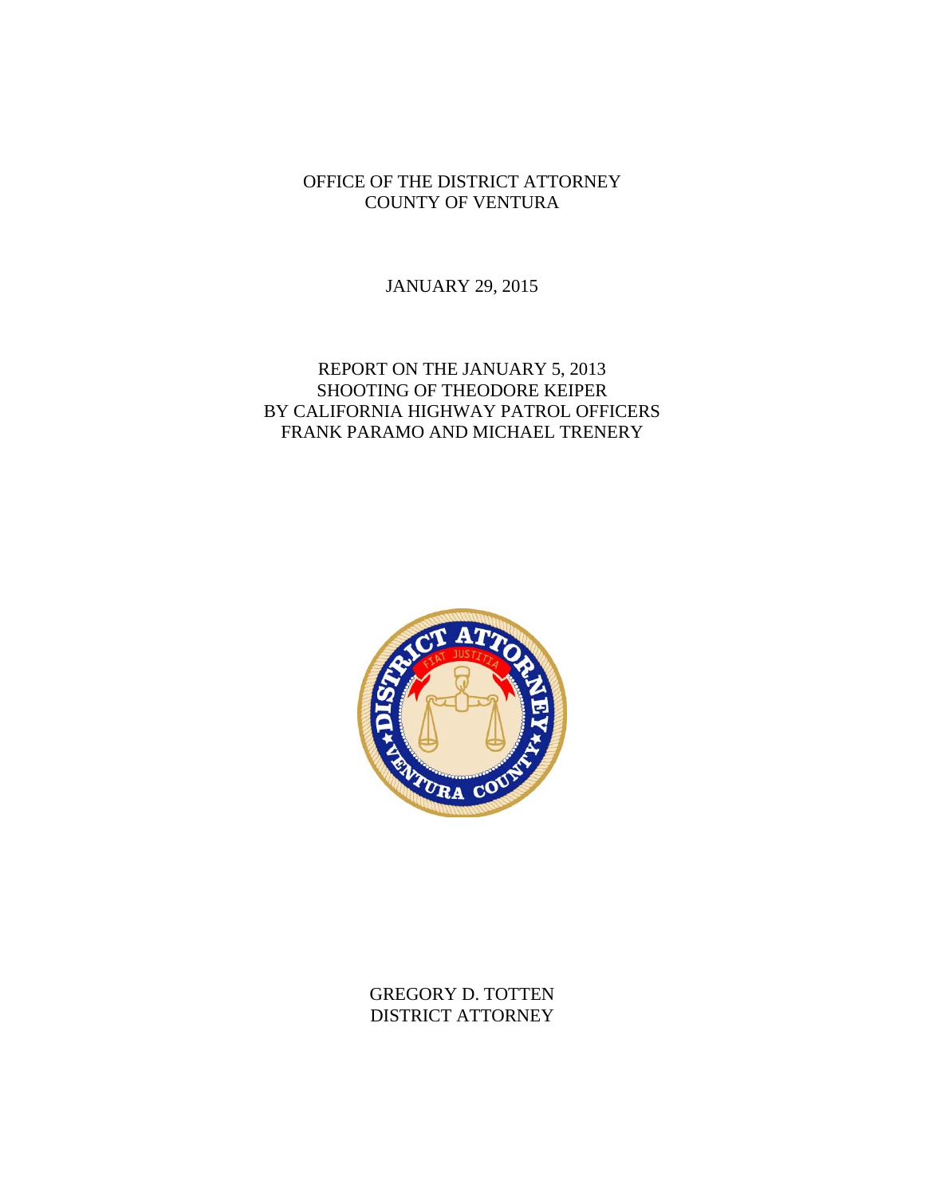## OFFICE OF THE DISTRICT ATTORNEY COUNTY OF VENTURA

JANUARY 29, 2015

## REPORT ON THE JANUARY 5, 2013 SHOOTING OF THEODORE KEIPER BY CALIFORNIA HIGHWAY PATROL OFFICERS FRANK PARAMO AND MICHAEL TRENERY



GREGORY D. TOTTEN DISTRICT ATTORNEY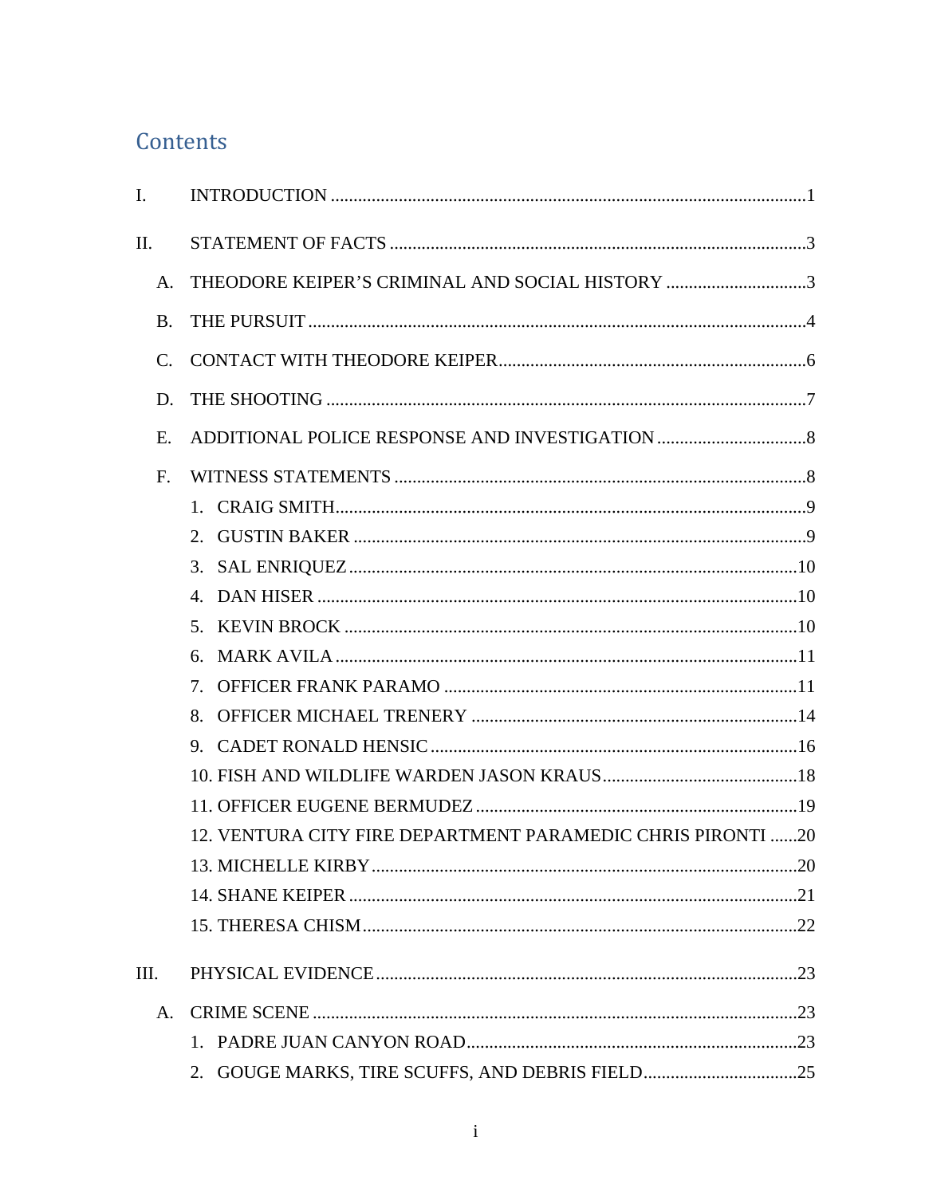# Contents

| I.            |                                                             |  |
|---------------|-------------------------------------------------------------|--|
| Π.            |                                                             |  |
| A.            | THEODORE KEIPER'S CRIMINAL AND SOCIAL HISTORY 3             |  |
| B.            |                                                             |  |
| $\mathcal{C}$ |                                                             |  |
| D.            |                                                             |  |
| Ε.            |                                                             |  |
| F.            |                                                             |  |
|               |                                                             |  |
|               | 2.                                                          |  |
|               |                                                             |  |
|               | $\mathbf{A}$                                                |  |
|               |                                                             |  |
|               | б.                                                          |  |
|               | 7.                                                          |  |
|               | 8.                                                          |  |
|               |                                                             |  |
|               |                                                             |  |
|               |                                                             |  |
|               | 12. VENTURA CITY FIRE DEPARTMENT PARAMEDIC CHRIS PIRONTI 20 |  |
|               |                                                             |  |
|               |                                                             |  |
|               |                                                             |  |
| III.          |                                                             |  |
| A.            |                                                             |  |
|               |                                                             |  |
|               | 2.                                                          |  |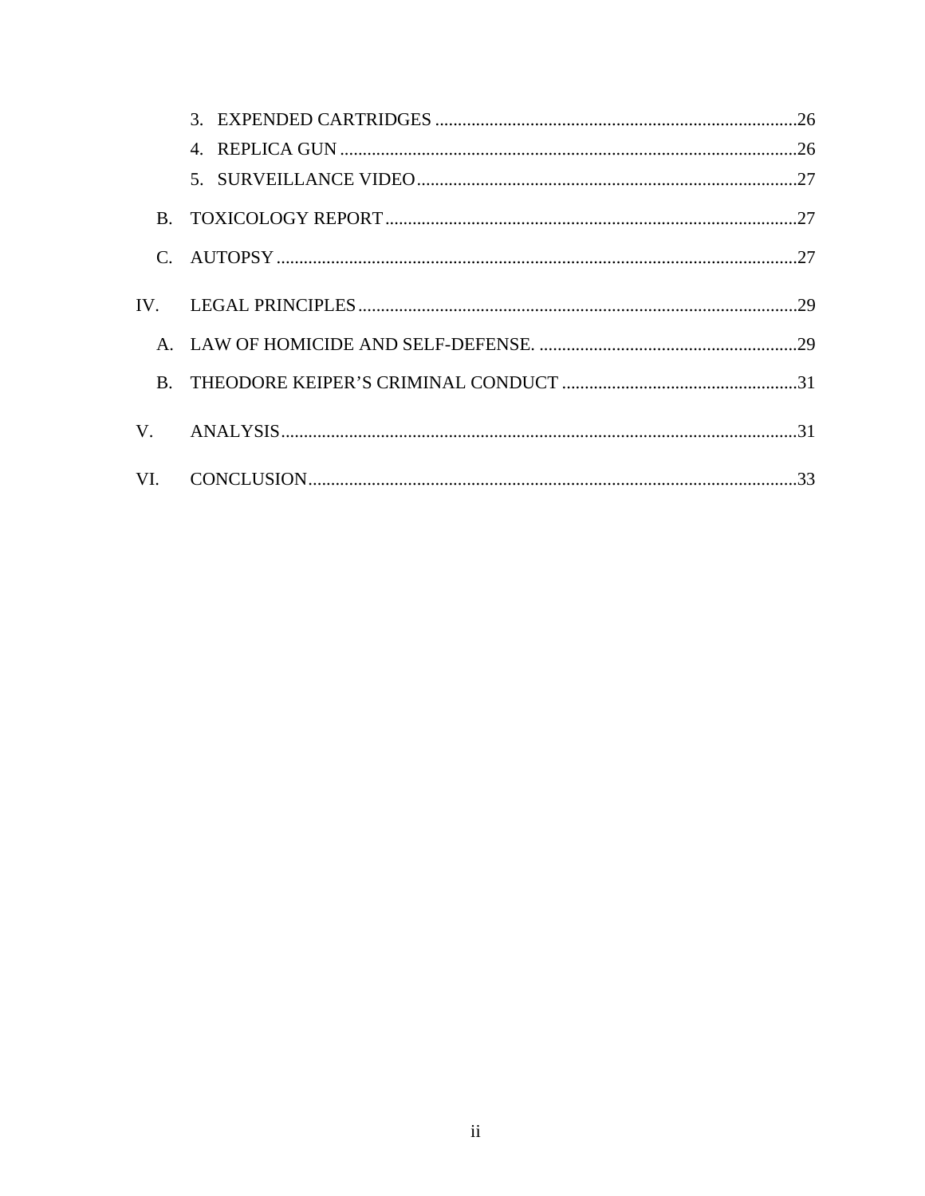| $\mathbf{B}$ |  |
|--------------|--|
|              |  |
|              |  |
|              |  |
| <b>B.</b>    |  |
| V.           |  |
|              |  |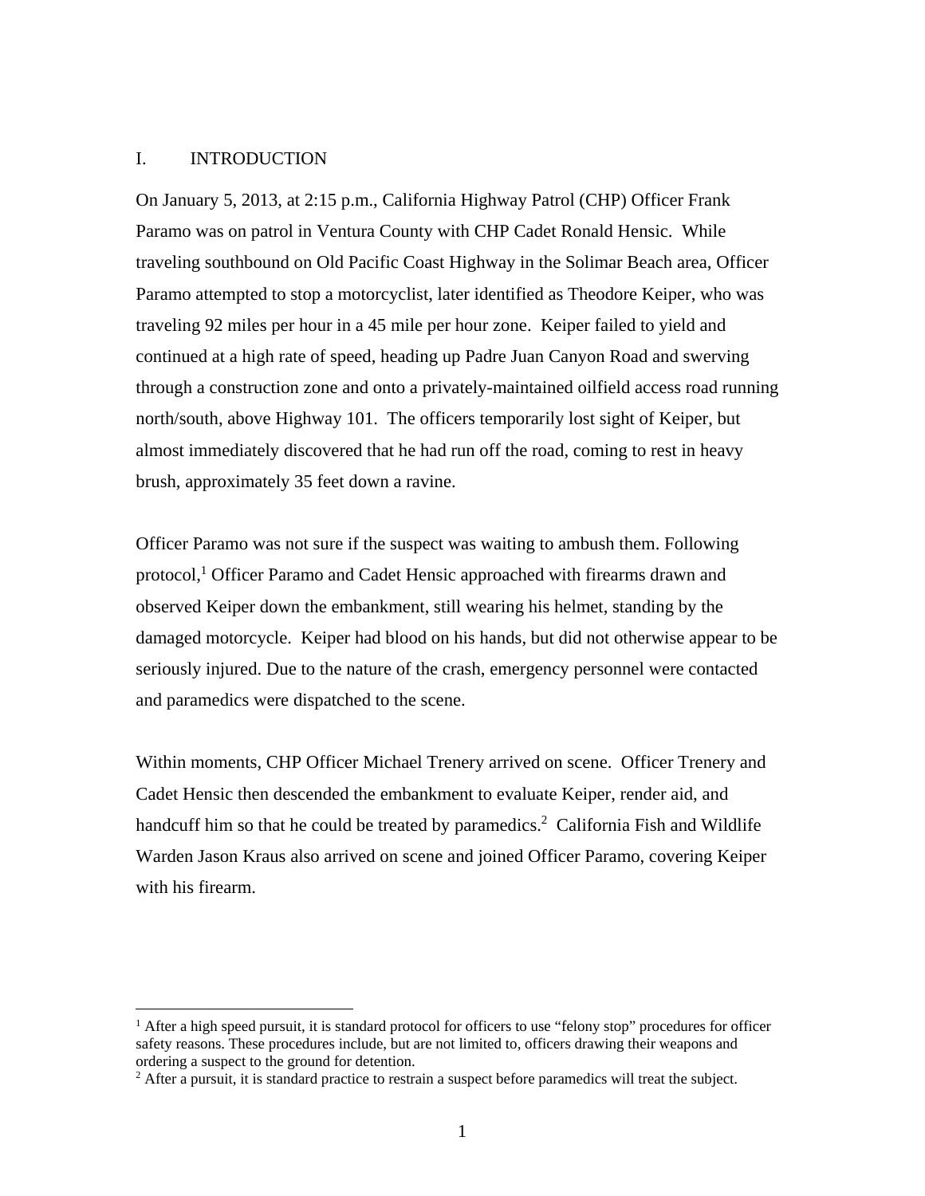### I. INTRODUCTION

<u>.</u>

On January 5, 2013, at 2:15 p.m., California Highway Patrol (CHP) Officer Frank Paramo was on patrol in Ventura County with CHP Cadet Ronald Hensic. While traveling southbound on Old Pacific Coast Highway in the Solimar Beach area, Officer Paramo attempted to stop a motorcyclist, later identified as Theodore Keiper, who was traveling 92 miles per hour in a 45 mile per hour zone. Keiper failed to yield and continued at a high rate of speed, heading up Padre Juan Canyon Road and swerving through a construction zone and onto a privately-maintained oilfield access road running north/south, above Highway 101. The officers temporarily lost sight of Keiper, but almost immediately discovered that he had run off the road, coming to rest in heavy brush, approximately 35 feet down a ravine.

Officer Paramo was not sure if the suspect was waiting to ambush them. Following protocol,<sup>1</sup> Officer Paramo and Cadet Hensic approached with firearms drawn and observed Keiper down the embankment, still wearing his helmet, standing by the damaged motorcycle. Keiper had blood on his hands, but did not otherwise appear to be seriously injured. Due to the nature of the crash, emergency personnel were contacted and paramedics were dispatched to the scene.

Within moments, CHP Officer Michael Trenery arrived on scene. Officer Trenery and Cadet Hensic then descended the embankment to evaluate Keiper, render aid, and handcuff him so that he could be treated by paramedics.<sup>2</sup> California Fish and Wildlife Warden Jason Kraus also arrived on scene and joined Officer Paramo, covering Keiper with his firearm.

<sup>&</sup>lt;sup>1</sup> After a high speed pursuit, it is standard protocol for officers to use "felony stop" procedures for officer safety reasons. These procedures include, but are not limited to, officers drawing their weapons and ordering a suspect to the ground for detention.

<sup>&</sup>lt;sup>2</sup> After a pursuit, it is standard practice to restrain a suspect before paramedics will treat the subject.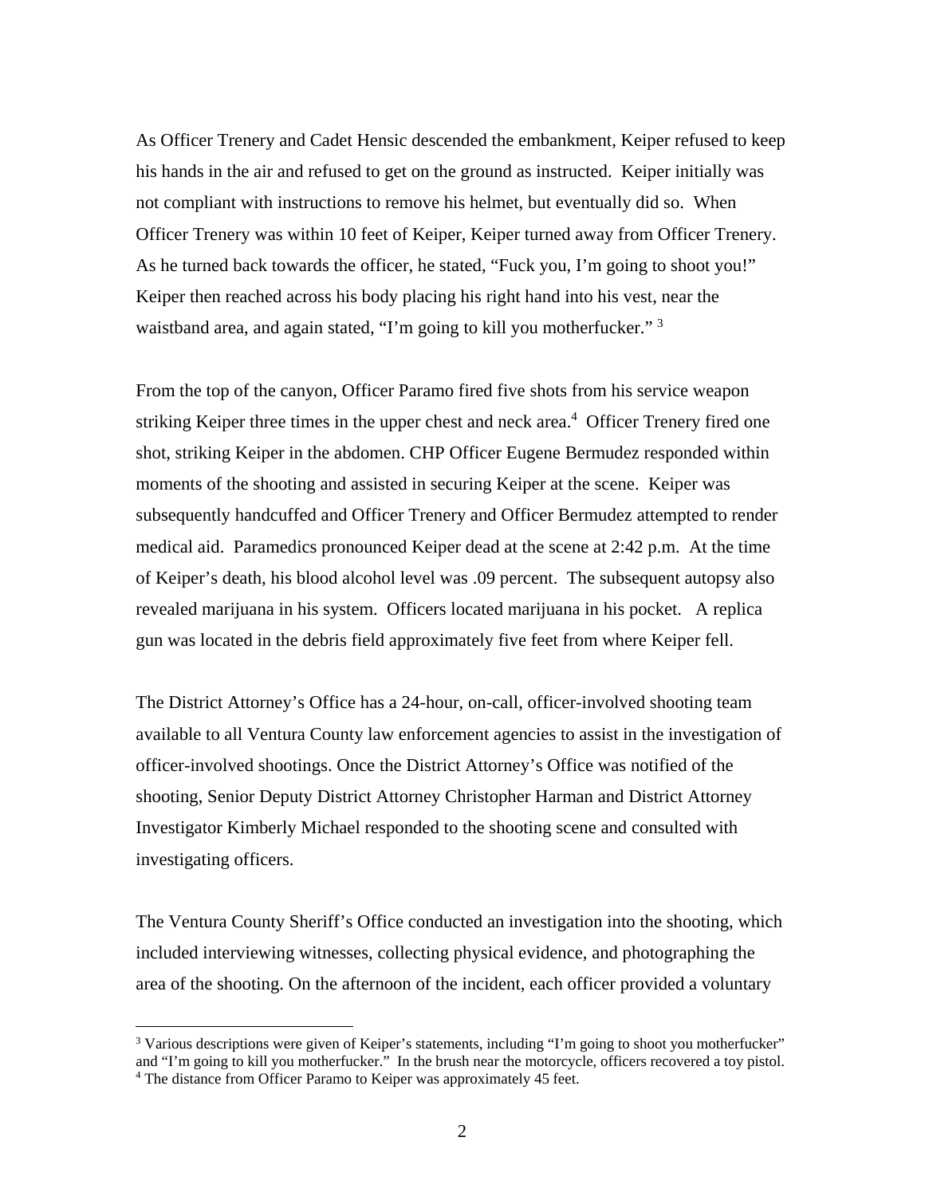As Officer Trenery and Cadet Hensic descended the embankment, Keiper refused to keep his hands in the air and refused to get on the ground as instructed. Keiper initially was not compliant with instructions to remove his helmet, but eventually did so. When Officer Trenery was within 10 feet of Keiper, Keiper turned away from Officer Trenery. As he turned back towards the officer, he stated, "Fuck you, I'm going to shoot you!" Keiper then reached across his body placing his right hand into his vest, near the waistband area, and again stated, "I'm going to kill you motherfucker."<sup>3</sup>

From the top of the canyon, Officer Paramo fired five shots from his service weapon striking Keiper three times in the upper chest and neck area.<sup>4</sup> Officer Trenery fired one shot, striking Keiper in the abdomen. CHP Officer Eugene Bermudez responded within moments of the shooting and assisted in securing Keiper at the scene. Keiper was subsequently handcuffed and Officer Trenery and Officer Bermudez attempted to render medical aid. Paramedics pronounced Keiper dead at the scene at 2:42 p.m. At the time of Keiper's death, his blood alcohol level was .09 percent. The subsequent autopsy also revealed marijuana in his system. Officers located marijuana in his pocket. A replica gun was located in the debris field approximately five feet from where Keiper fell.

The District Attorney's Office has a 24-hour, on-call, officer-involved shooting team available to all Ventura County law enforcement agencies to assist in the investigation of officer-involved shootings. Once the District Attorney's Office was notified of the shooting, Senior Deputy District Attorney Christopher Harman and District Attorney Investigator Kimberly Michael responded to the shooting scene and consulted with investigating officers.

The Ventura County Sheriff's Office conducted an investigation into the shooting, which included interviewing witnesses, collecting physical evidence, and photographing the area of the shooting. On the afternoon of the incident, each officer provided a voluntary

<sup>&</sup>lt;sup>3</sup> Various descriptions were given of Keiper's statements, including "I'm going to shoot you motherfucker" and "I'm going to kill you motherfucker." In the brush near the motorcycle, officers recovered a toy pistol. 4 <sup>4</sup> The distance from Officer Paramo to Keiper was approximately 45 feet.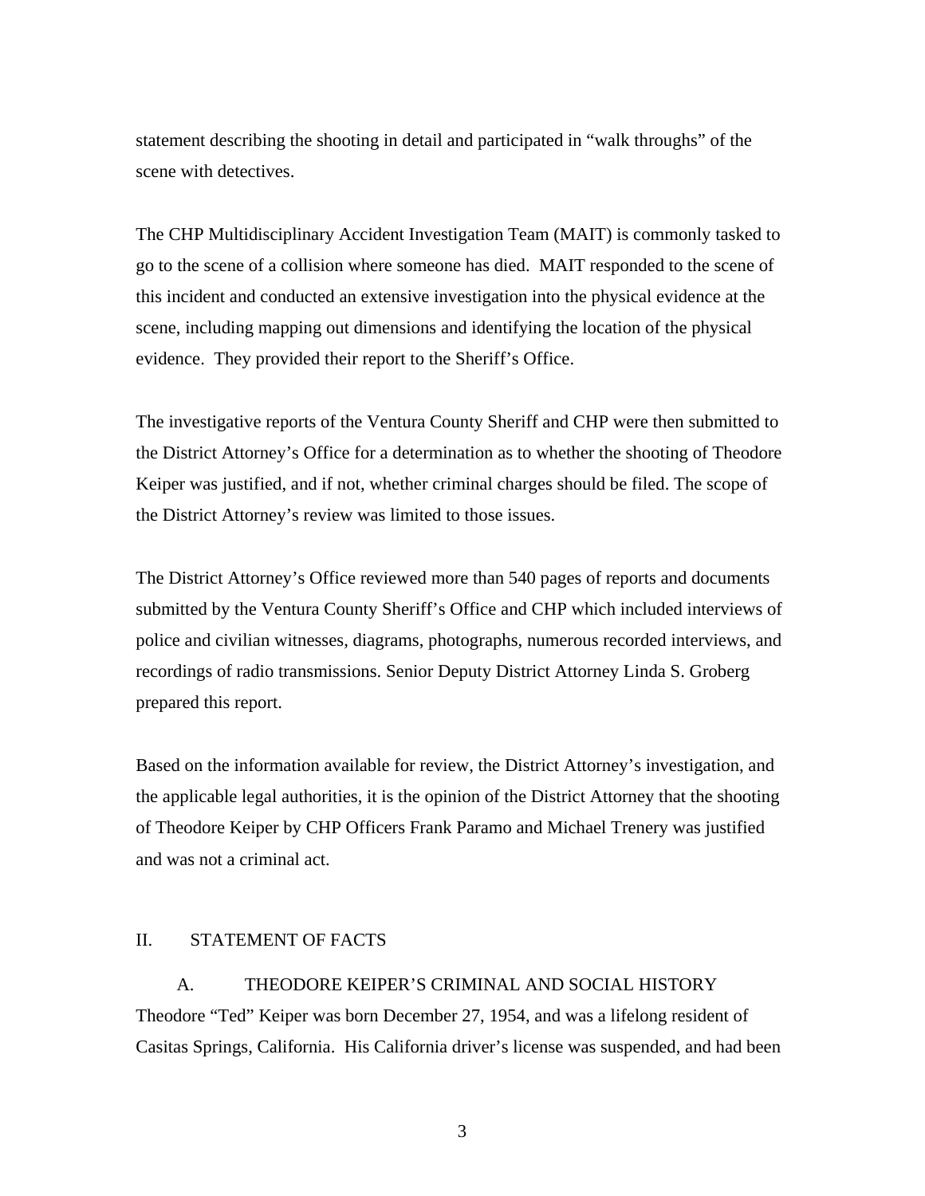statement describing the shooting in detail and participated in "walk throughs" of the scene with detectives.

The CHP Multidisciplinary Accident Investigation Team (MAIT) is commonly tasked to go to the scene of a collision where someone has died. MAIT responded to the scene of this incident and conducted an extensive investigation into the physical evidence at the scene, including mapping out dimensions and identifying the location of the physical evidence. They provided their report to the Sheriff's Office.

The investigative reports of the Ventura County Sheriff and CHP were then submitted to the District Attorney's Office for a determination as to whether the shooting of Theodore Keiper was justified, and if not, whether criminal charges should be filed. The scope of the District Attorney's review was limited to those issues.

The District Attorney's Office reviewed more than 540 pages of reports and documents submitted by the Ventura County Sheriff's Office and CHP which included interviews of police and civilian witnesses, diagrams, photographs, numerous recorded interviews, and recordings of radio transmissions. Senior Deputy District Attorney Linda S. Groberg prepared this report.

Based on the information available for review, the District Attorney's investigation, and the applicable legal authorities, it is the opinion of the District Attorney that the shooting of Theodore Keiper by CHP Officers Frank Paramo and Michael Trenery was justified and was not a criminal act.

## II. STATEMENT OF FACTS

A. THEODORE KEIPER'S CRIMINAL AND SOCIAL HISTORY Theodore "Ted" Keiper was born December 27, 1954, and was a lifelong resident of Casitas Springs, California. His California driver's license was suspended, and had been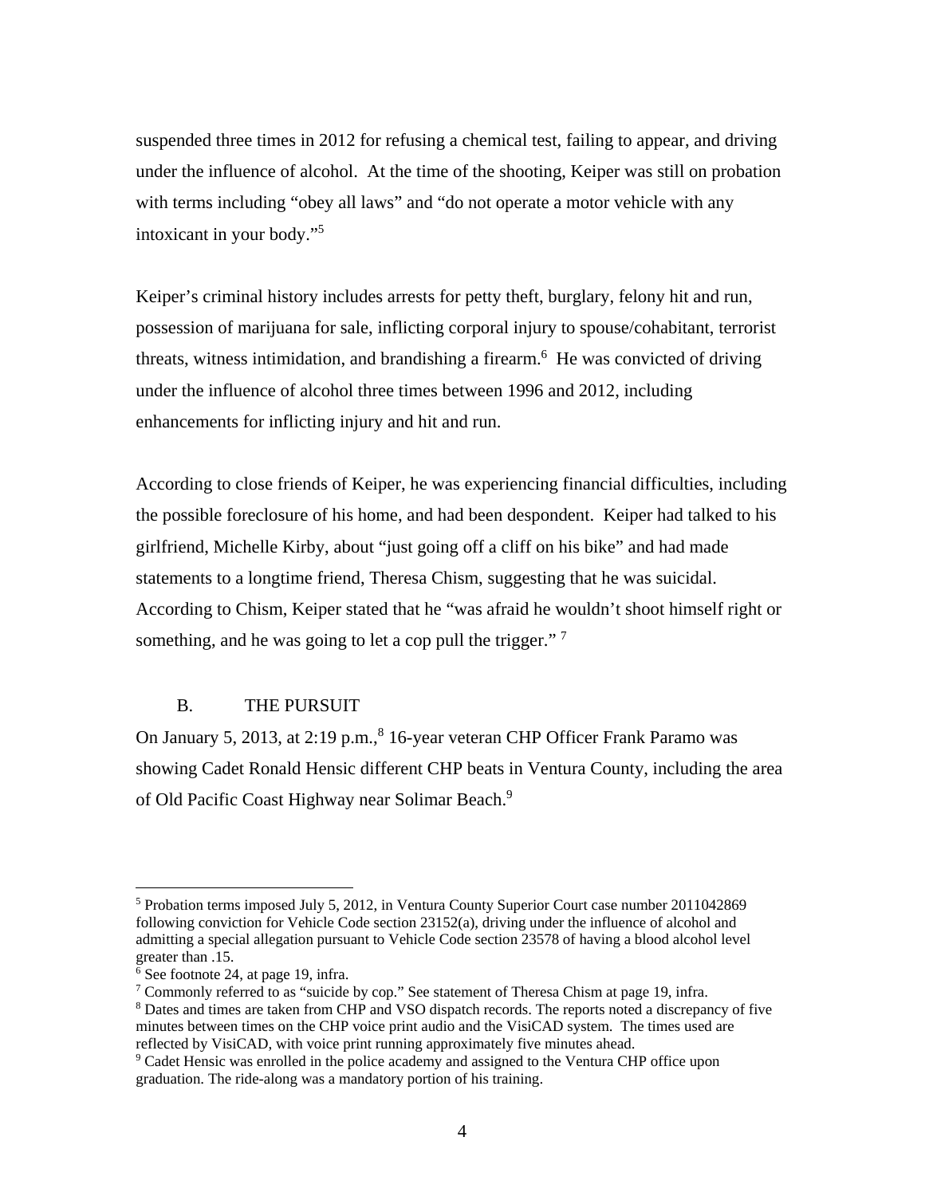suspended three times in 2012 for refusing a chemical test, failing to appear, and driving under the influence of alcohol. At the time of the shooting, Keiper was still on probation with terms including "obey all laws" and "do not operate a motor vehicle with any intoxicant in your body."5

Keiper's criminal history includes arrests for petty theft, burglary, felony hit and run, possession of marijuana for sale, inflicting corporal injury to spouse/cohabitant, terrorist threats, witness intimidation, and brandishing a firearm.<sup>6</sup> He was convicted of driving under the influence of alcohol three times between 1996 and 2012, including enhancements for inflicting injury and hit and run.

According to close friends of Keiper, he was experiencing financial difficulties, including the possible foreclosure of his home, and had been despondent. Keiper had talked to his girlfriend, Michelle Kirby, about "just going off a cliff on his bike" and had made statements to a longtime friend, Theresa Chism, suggesting that he was suicidal. According to Chism, Keiper stated that he "was afraid he wouldn't shoot himself right or something, and he was going to let a cop pull the trigger."  $7$ 

### B. THE PURSUIT

On January 5, 2013, at 2:19 p.m.,<sup>8</sup> 16-year veteran CHP Officer Frank Paramo was showing Cadet Ronald Hensic different CHP beats in Ventura County, including the area of Old Pacific Coast Highway near Solimar Beach.<sup>9</sup>

<sup>&</sup>lt;sup>5</sup> Probation terms imposed July 5, 2012, in Ventura County Superior Court case number 2011042869 following conviction for Vehicle Code section 23152(a), driving under the influence of alcohol and admitting a special allegation pursuant to Vehicle Code section 23578 of having a blood alcohol level greater than .15.

<sup>6</sup> See footnote 24, at page 19, infra.

<sup>&</sup>lt;sup>7</sup> Commonly referred to as "suicide by cop." See statement of Theresa Chism at page 19, infra.<br><sup>8</sup> Dates and times are taken from CHP and VSO dispatch records. The reports noted a discrepar

<sup>&</sup>lt;sup>8</sup> Dates and times are taken from CHP and VSO dispatch records. The reports noted a discrepancy of five minutes between times on the CHP voice print audio and the VisiCAD system. The times used are reflected by VisiCAD, with voice print running approximately five minutes ahead.

<sup>&</sup>lt;sup>9</sup> Cadet Hensic was enrolled in the police academy and assigned to the Ventura CHP office upon graduation. The ride-along was a mandatory portion of his training.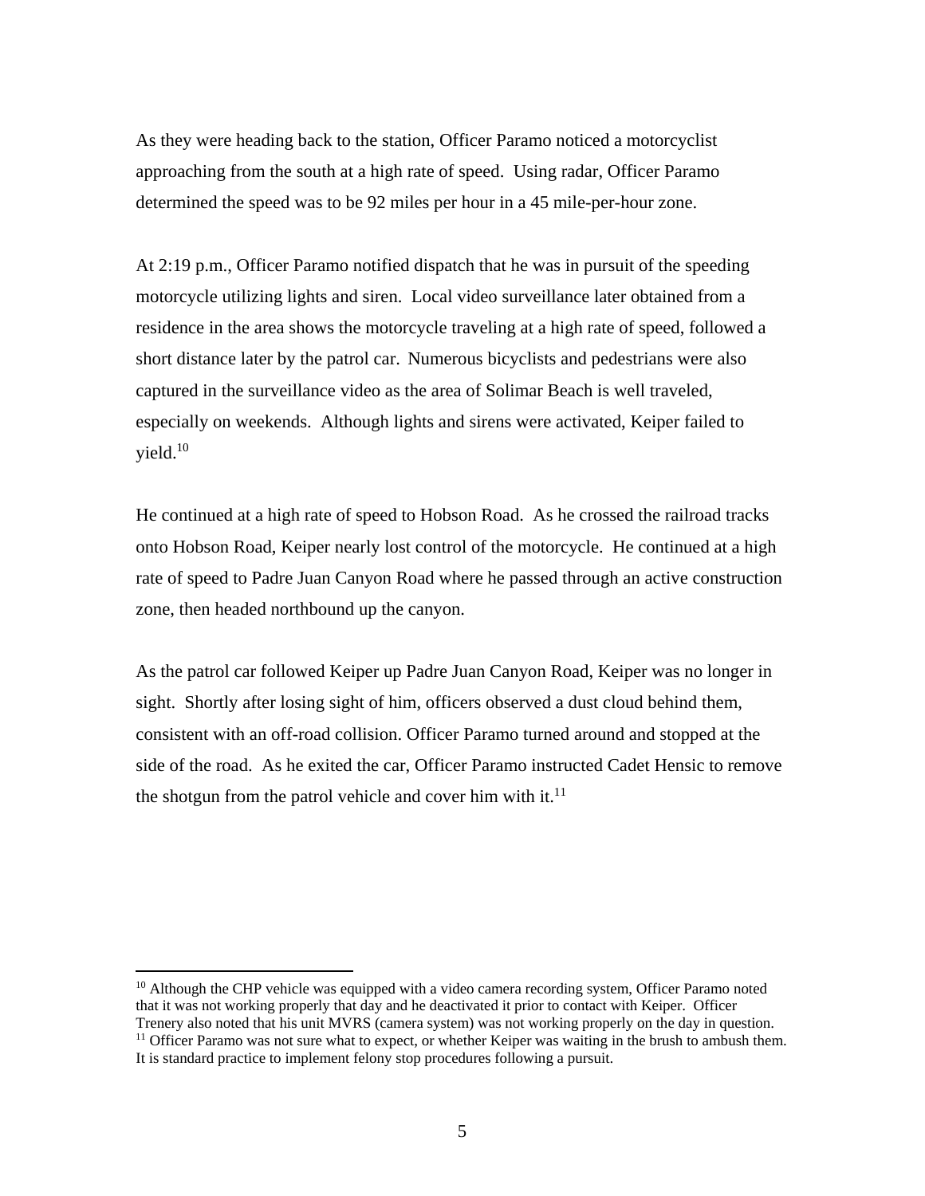As they were heading back to the station, Officer Paramo noticed a motorcyclist approaching from the south at a high rate of speed. Using radar, Officer Paramo determined the speed was to be 92 miles per hour in a 45 mile-per-hour zone.

At 2:19 p.m., Officer Paramo notified dispatch that he was in pursuit of the speeding motorcycle utilizing lights and siren. Local video surveillance later obtained from a residence in the area shows the motorcycle traveling at a high rate of speed, followed a short distance later by the patrol car. Numerous bicyclists and pedestrians were also captured in the surveillance video as the area of Solimar Beach is well traveled, especially on weekends. Although lights and sirens were activated, Keiper failed to  $yield.<sup>10</sup>$ 

He continued at a high rate of speed to Hobson Road. As he crossed the railroad tracks onto Hobson Road, Keiper nearly lost control of the motorcycle. He continued at a high rate of speed to Padre Juan Canyon Road where he passed through an active construction zone, then headed northbound up the canyon.

As the patrol car followed Keiper up Padre Juan Canyon Road, Keiper was no longer in sight. Shortly after losing sight of him, officers observed a dust cloud behind them, consistent with an off-road collision. Officer Paramo turned around and stopped at the side of the road. As he exited the car, Officer Paramo instructed Cadet Hensic to remove the shotgun from the patrol vehicle and cover him with it. $^{11}$ 

<sup>10</sup> Although the CHP vehicle was equipped with a video camera recording system, Officer Paramo noted that it was not working properly that day and he deactivated it prior to contact with Keiper. Officer<br>Trenery also noted that his unit MVRS (camera system) was not working properly on the day in question.  $11$  Officer Paramo was not sure what to expect, or whether Keiper was waiting in the brush to ambush them.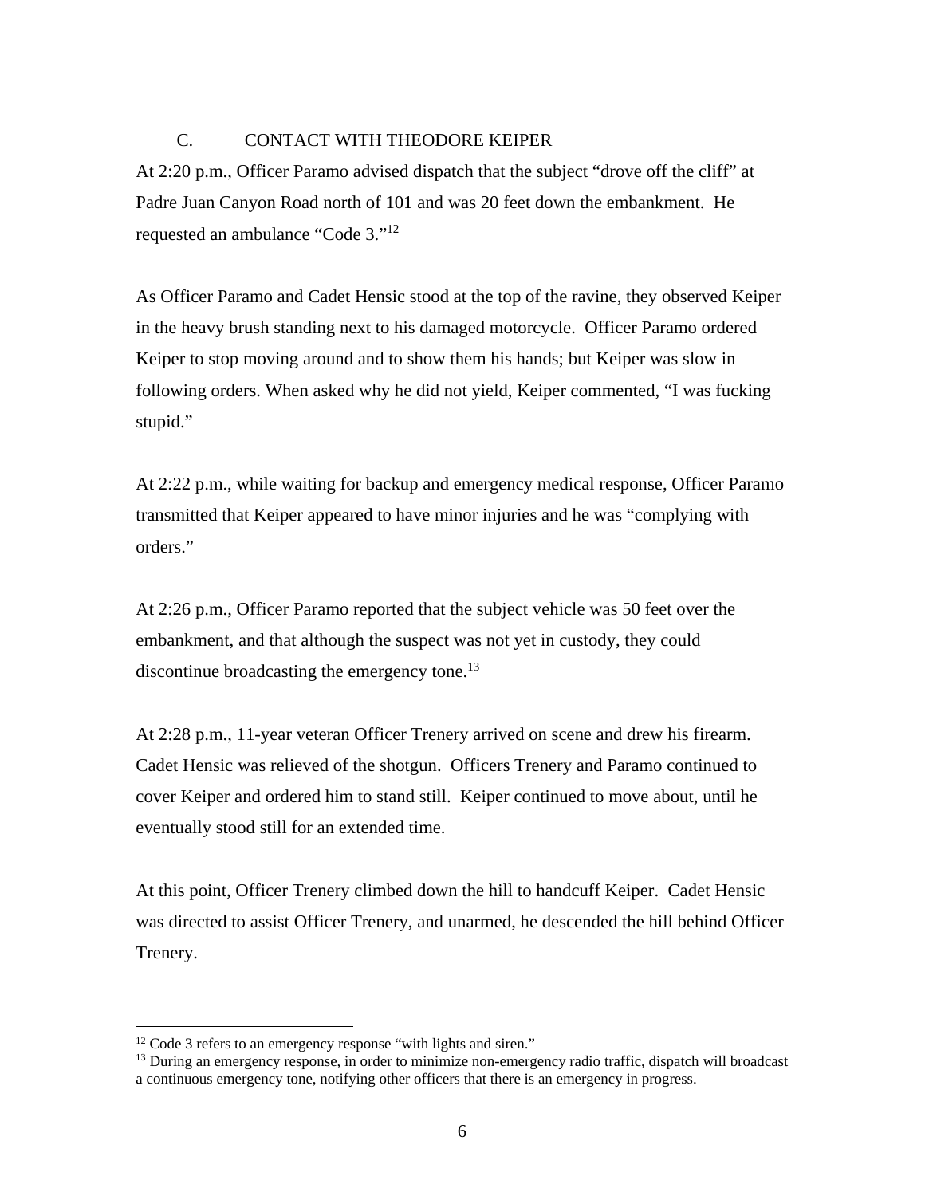## C. CONTACT WITH THEODORE KEIPER

At 2:20 p.m., Officer Paramo advised dispatch that the subject "drove off the cliff" at Padre Juan Canyon Road north of 101 and was 20 feet down the embankment. He requested an ambulance "Code 3."<sup>12</sup>

As Officer Paramo and Cadet Hensic stood at the top of the ravine, they observed Keiper in the heavy brush standing next to his damaged motorcycle. Officer Paramo ordered Keiper to stop moving around and to show them his hands; but Keiper was slow in following orders. When asked why he did not yield, Keiper commented, "I was fucking stupid."

At 2:22 p.m., while waiting for backup and emergency medical response, Officer Paramo transmitted that Keiper appeared to have minor injuries and he was "complying with orders."

At 2:26 p.m., Officer Paramo reported that the subject vehicle was 50 feet over the embankment, and that although the suspect was not yet in custody, they could discontinue broadcasting the emergency tone.<sup>13</sup>

At 2:28 p.m., 11-year veteran Officer Trenery arrived on scene and drew his firearm. Cadet Hensic was relieved of the shotgun. Officers Trenery and Paramo continued to cover Keiper and ordered him to stand still. Keiper continued to move about, until he eventually stood still for an extended time.

At this point, Officer Trenery climbed down the hill to handcuff Keiper. Cadet Hensic was directed to assist Officer Trenery, and unarmed, he descended the hill behind Officer Trenery.

<sup>&</sup>lt;sup>12</sup> Code 3 refers to an emergency response "with lights and siren."

<sup>&</sup>lt;sup>13</sup> During an emergency response, in order to minimize non-emergency radio traffic, dispatch will broadcast a continuous emergency tone, notifying other officers that there is an emergency in progress.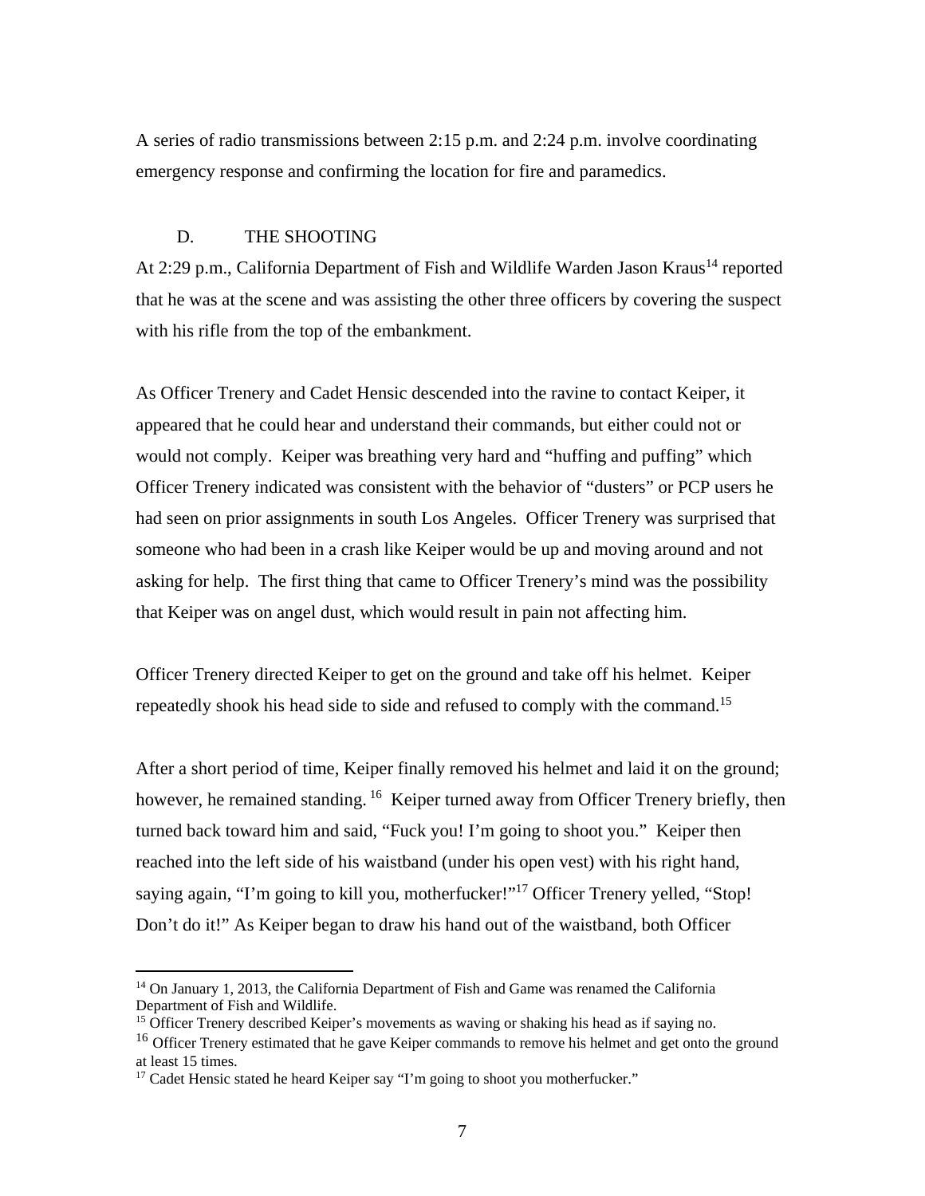A series of radio transmissions between 2:15 p.m. and 2:24 p.m. involve coordinating emergency response and confirming the location for fire and paramedics.

### D. THE SHOOTING

At 2:29 p.m., California Department of Fish and Wildlife Warden Jason Kraus<sup>14</sup> reported that he was at the scene and was assisting the other three officers by covering the suspect with his rifle from the top of the embankment.

As Officer Trenery and Cadet Hensic descended into the ravine to contact Keiper, it appeared that he could hear and understand their commands, but either could not or would not comply. Keiper was breathing very hard and "huffing and puffing" which Officer Trenery indicated was consistent with the behavior of "dusters" or PCP users he had seen on prior assignments in south Los Angeles. Officer Trenery was surprised that someone who had been in a crash like Keiper would be up and moving around and not asking for help. The first thing that came to Officer Trenery's mind was the possibility that Keiper was on angel dust, which would result in pain not affecting him.

Officer Trenery directed Keiper to get on the ground and take off his helmet. Keiper repeatedly shook his head side to side and refused to comply with the command.<sup>15</sup>

After a short period of time, Keiper finally removed his helmet and laid it on the ground; however, he remained standing. <sup>16</sup> Keiper turned away from Officer Trenery briefly, then turned back toward him and said, "Fuck you! I'm going to shoot you." Keiper then reached into the left side of his waistband (under his open vest) with his right hand, saying again, "I'm going to kill you, motherfucker!"<sup>17</sup> Officer Trenery yelled, "Stop! Don't do it!" As Keiper began to draw his hand out of the waistband, both Officer

<sup>&</sup>lt;sup>14</sup> On January 1, 2013, the California Department of Fish and Game was renamed the California Department of Fish and Wildlife.

<sup>&</sup>lt;sup>15</sup> Officer Trenery described Keiper's movements as waving or shaking his head as if saying no.

<sup>&</sup>lt;sup>16</sup> Officer Trenery estimated that he gave Keiper commands to remove his helmet and get onto the ground at least 15 times.

<sup>&</sup>lt;sup>17</sup> Cadet Hensic stated he heard Keiper say "I'm going to shoot you motherfucker."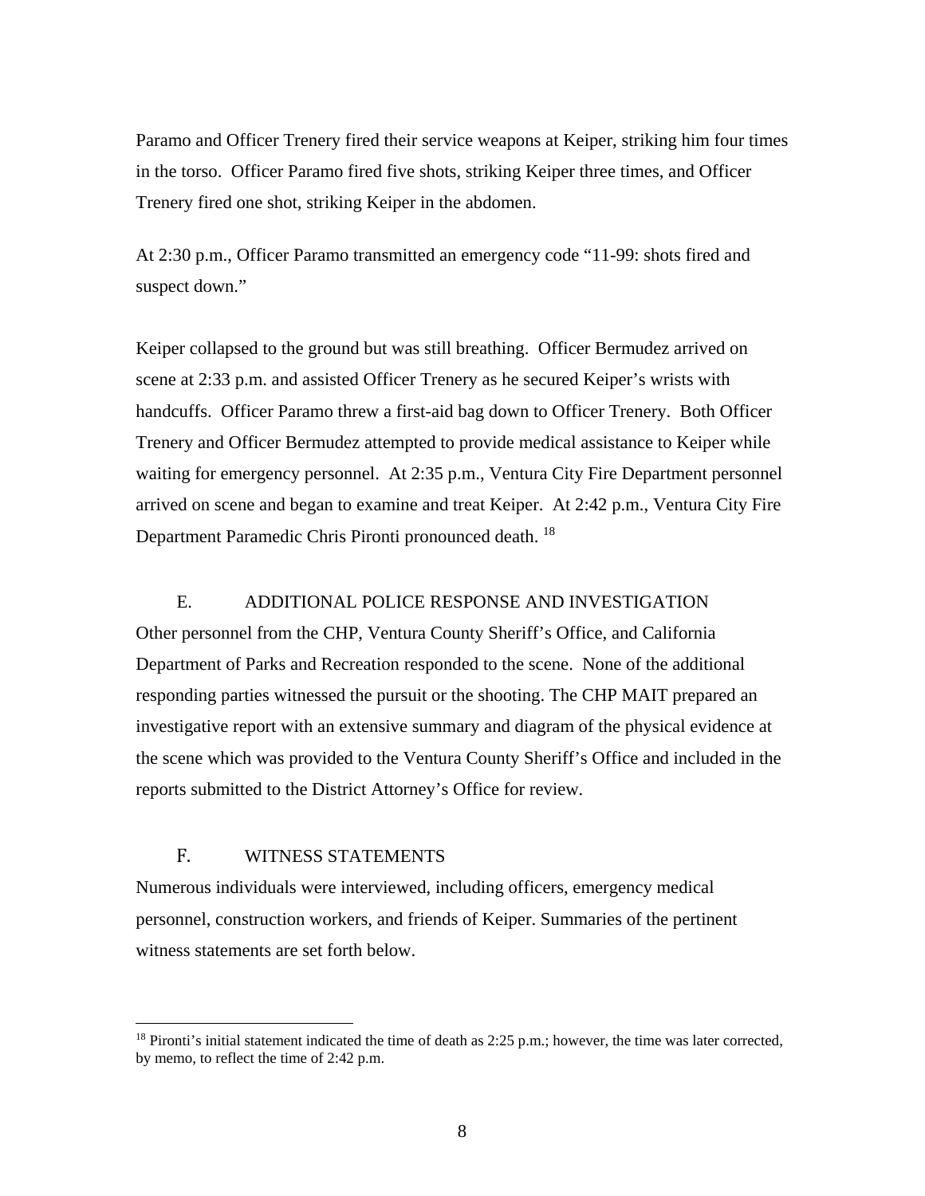Paramo and Officer Trenery fired their service weapons at Keiper, striking him four times in the torso. Officer Paramo fired five shots, striking Keiper three times, and Officer Trenery fired one shot, striking Keiper in the abdomen.

At 2:30 p.m., Officer Paramo transmitted an emergency code "11-99: shots fired and suspect down."

Keiper collapsed to the ground but was still breathing. Officer Bermudez arrived on scene at 2:33 p.m. and assisted Officer Trenery as he secured Keiper's wrists with handcuffs. Officer Paramo threw a first-aid bag down to Officer Trenery. Both Officer Trenery and Officer Bermudez attempted to provide medical assistance to Keiper while waiting for emergency personnel. At 2:35 p.m., Ventura City Fire Department personnel arrived on scene and began to examine and treat Keiper. At 2:42 p.m., Ventura City Fire Department Paramedic Chris Pironti pronounced death.<sup>18</sup>

### E. ADDITIONAL POLICE RESPONSE AND INVESTIGATION

Other personnel from the CHP, Ventura County Sheriff's Office, and California Department of Parks and Recreation responded to the scene. None of the additional responding parties witnessed the pursuit or the shooting. The CHP MAIT prepared an investigative report with an extensive summary and diagram of the physical evidence at the scene which was provided to the Ventura County Sheriff's Office and included in the reports submitted to the District Attorney's Office for review.

## F. WITNESS STATEMENTS

 $\overline{a}$ 

Numerous individuals were interviewed, including officers, emergency medical personnel, construction workers, and friends of Keiper. Summaries of the pertinent witness statements are set forth below.

<sup>&</sup>lt;sup>18</sup> Pironti's initial statement indicated the time of death as 2:25 p.m.; however, the time was later corrected, by memo, to reflect the time of 2:42 p.m.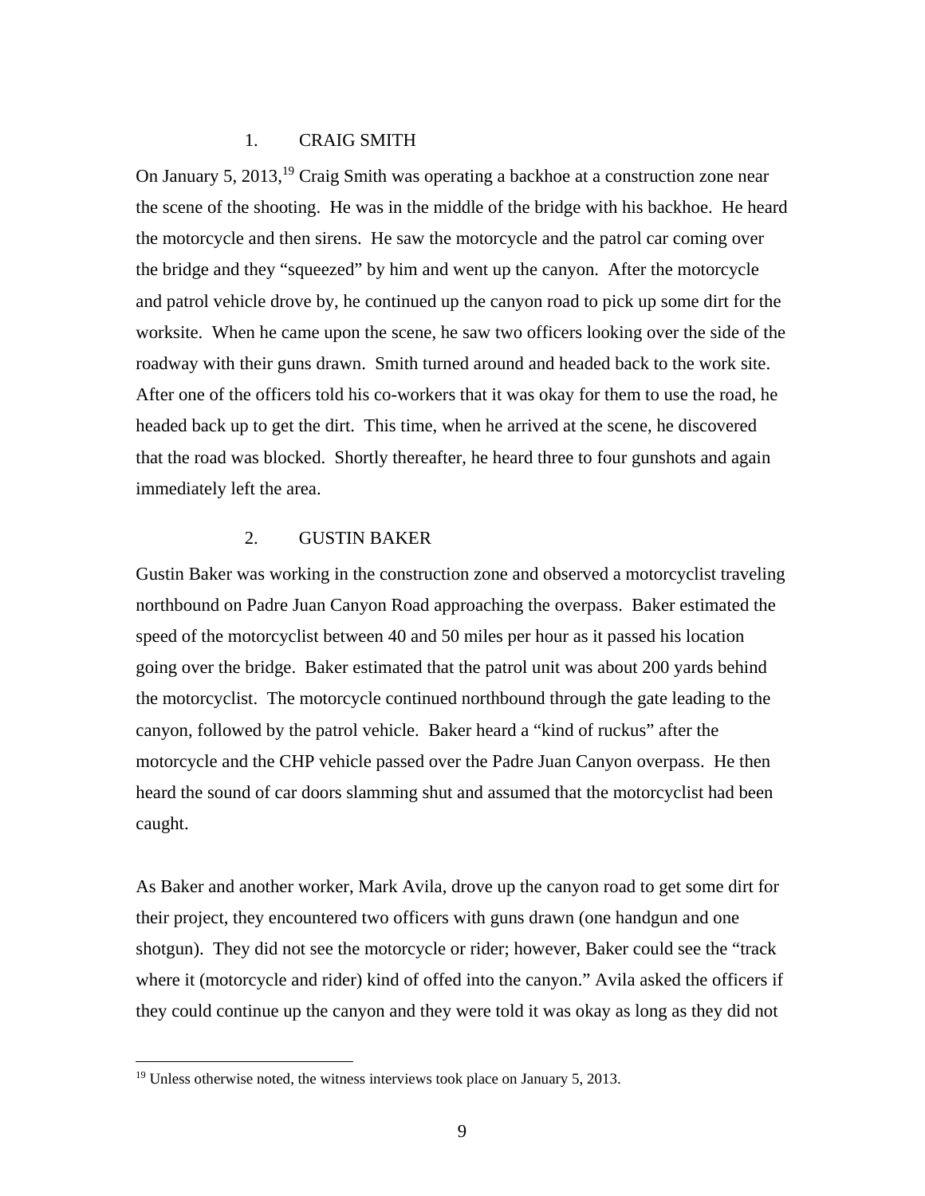### 1. CRAIG SMITH

On January 5,  $2013$ ,<sup>19</sup> Craig Smith was operating a backhoe at a construction zone near the scene of the shooting. He was in the middle of the bridge with his backhoe. He heard the motorcycle and then sirens. He saw the motorcycle and the patrol car coming over the bridge and they "squeezed" by him and went up the canyon. After the motorcycle and patrol vehicle drove by, he continued up the canyon road to pick up some dirt for the worksite. When he came upon the scene, he saw two officers looking over the side of the roadway with their guns drawn. Smith turned around and headed back to the work site. After one of the officers told his co-workers that it was okay for them to use the road, he headed back up to get the dirt. This time, when he arrived at the scene, he discovered that the road was blocked. Shortly thereafter, he heard three to four gunshots and again immediately left the area.

### 2. GUSTIN BAKER

Gustin Baker was working in the construction zone and observed a motorcyclist traveling northbound on Padre Juan Canyon Road approaching the overpass. Baker estimated the speed of the motorcyclist between 40 and 50 miles per hour as it passed his location going over the bridge. Baker estimated that the patrol unit was about 200 yards behind the motorcyclist. The motorcycle continued northbound through the gate leading to the canyon, followed by the patrol vehicle. Baker heard a "kind of ruckus" after the motorcycle and the CHP vehicle passed over the Padre Juan Canyon overpass. He then heard the sound of car doors slamming shut and assumed that the motorcyclist had been caught.

As Baker and another worker, Mark Avila, drove up the canyon road to get some dirt for their project, they encountered two officers with guns drawn (one handgun and one shotgun). They did not see the motorcycle or rider; however, Baker could see the "track where it (motorcycle and rider) kind of offed into the canyon." Avila asked the officers if they could continue up the canyon and they were told it was okay as long as they did not

<sup>&</sup>lt;sup>19</sup> Unless otherwise noted, the witness interviews took place on January 5, 2013.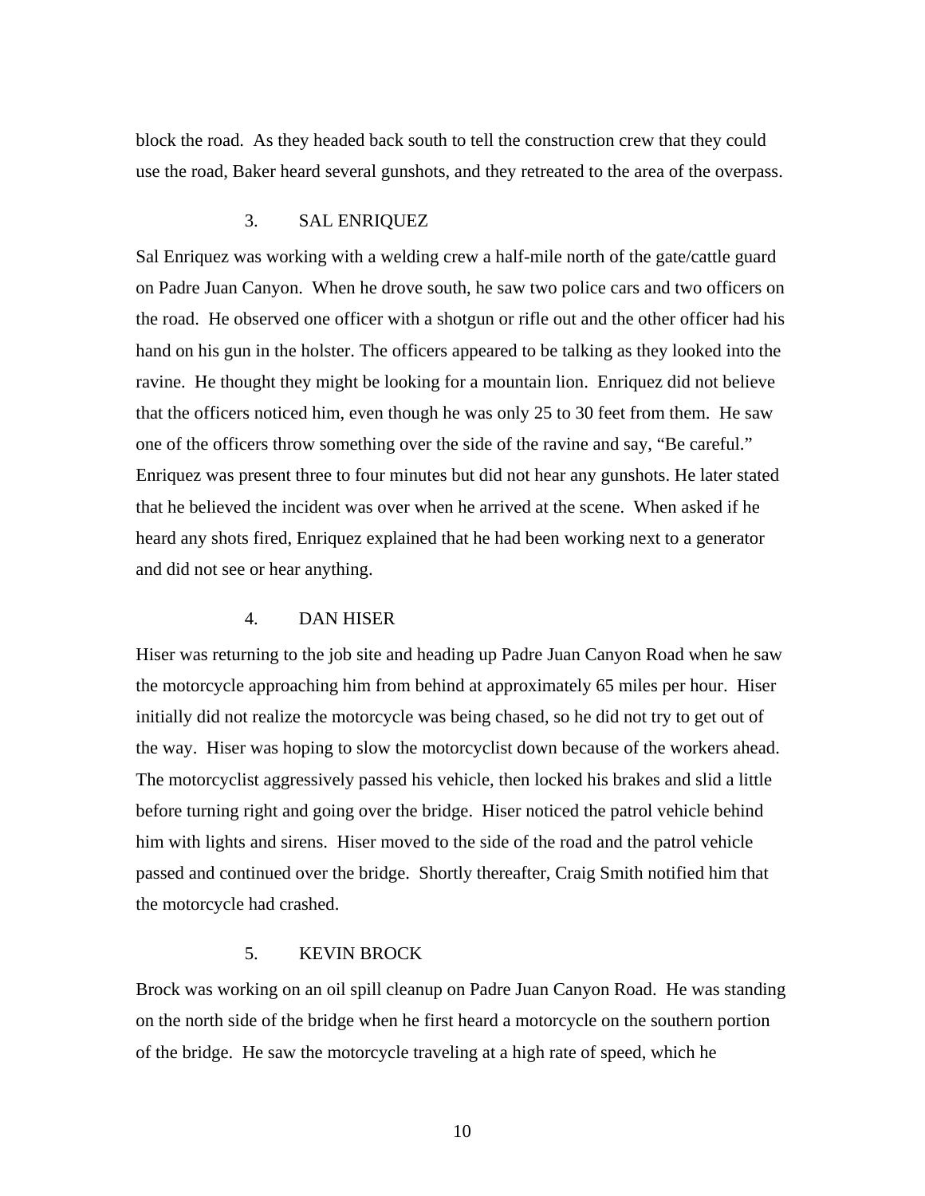block the road. As they headed back south to tell the construction crew that they could use the road, Baker heard several gunshots, and they retreated to the area of the overpass.

### 3. SAL ENRIQUEZ

Sal Enriquez was working with a welding crew a half-mile north of the gate/cattle guard on Padre Juan Canyon. When he drove south, he saw two police cars and two officers on the road. He observed one officer with a shotgun or rifle out and the other officer had his hand on his gun in the holster. The officers appeared to be talking as they looked into the ravine. He thought they might be looking for a mountain lion. Enriquez did not believe that the officers noticed him, even though he was only 25 to 30 feet from them. He saw one of the officers throw something over the side of the ravine and say, "Be careful." Enriquez was present three to four minutes but did not hear any gunshots. He later stated that he believed the incident was over when he arrived at the scene. When asked if he heard any shots fired, Enriquez explained that he had been working next to a generator and did not see or hear anything.

#### 4. DAN HISER

Hiser was returning to the job site and heading up Padre Juan Canyon Road when he saw the motorcycle approaching him from behind at approximately 65 miles per hour. Hiser initially did not realize the motorcycle was being chased, so he did not try to get out of the way. Hiser was hoping to slow the motorcyclist down because of the workers ahead. The motorcyclist aggressively passed his vehicle, then locked his brakes and slid a little before turning right and going over the bridge. Hiser noticed the patrol vehicle behind him with lights and sirens. Hiser moved to the side of the road and the patrol vehicle passed and continued over the bridge. Shortly thereafter, Craig Smith notified him that the motorcycle had crashed.

### 5. KEVIN BROCK

Brock was working on an oil spill cleanup on Padre Juan Canyon Road. He was standing on the north side of the bridge when he first heard a motorcycle on the southern portion of the bridge. He saw the motorcycle traveling at a high rate of speed, which he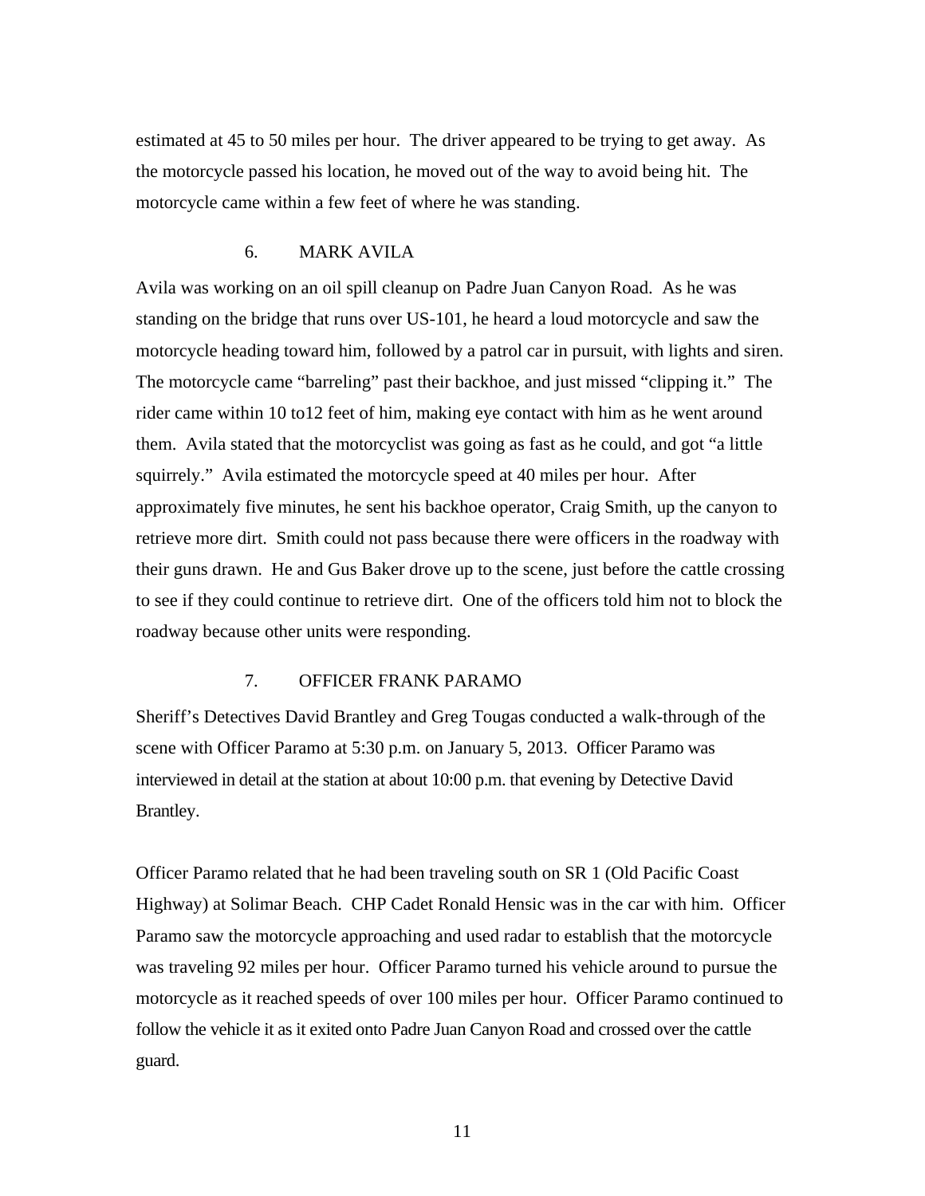estimated at 45 to 50 miles per hour. The driver appeared to be trying to get away. As the motorcycle passed his location, he moved out of the way to avoid being hit. The motorcycle came within a few feet of where he was standing.

### 6. MARK AVILA

Avila was working on an oil spill cleanup on Padre Juan Canyon Road. As he was standing on the bridge that runs over US-101, he heard a loud motorcycle and saw the motorcycle heading toward him, followed by a patrol car in pursuit, with lights and siren. The motorcycle came "barreling" past their backhoe, and just missed "clipping it." The rider came within 10 to12 feet of him, making eye contact with him as he went around them. Avila stated that the motorcyclist was going as fast as he could, and got "a little squirrely." Avila estimated the motorcycle speed at 40 miles per hour. After approximately five minutes, he sent his backhoe operator, Craig Smith, up the canyon to retrieve more dirt. Smith could not pass because there were officers in the roadway with their guns drawn. He and Gus Baker drove up to the scene, just before the cattle crossing to see if they could continue to retrieve dirt. One of the officers told him not to block the roadway because other units were responding.

## 7. OFFICER FRANK PARAMO

Sheriff's Detectives David Brantley and Greg Tougas conducted a walk-through of the scene with Officer Paramo at 5:30 p.m. on January 5, 2013. Officer Paramo was interviewed in detail at the station at about 10:00 p.m. that evening by Detective David Brantley.

Officer Paramo related that he had been traveling south on SR 1 (Old Pacific Coast Highway) at Solimar Beach. CHP Cadet Ronald Hensic was in the car with him. Officer Paramo saw the motorcycle approaching and used radar to establish that the motorcycle was traveling 92 miles per hour. Officer Paramo turned his vehicle around to pursue the motorcycle as it reached speeds of over 100 miles per hour. Officer Paramo continued to follow the vehicle it as it exited onto Padre Juan Canyon Road and crossed over the cattle guard.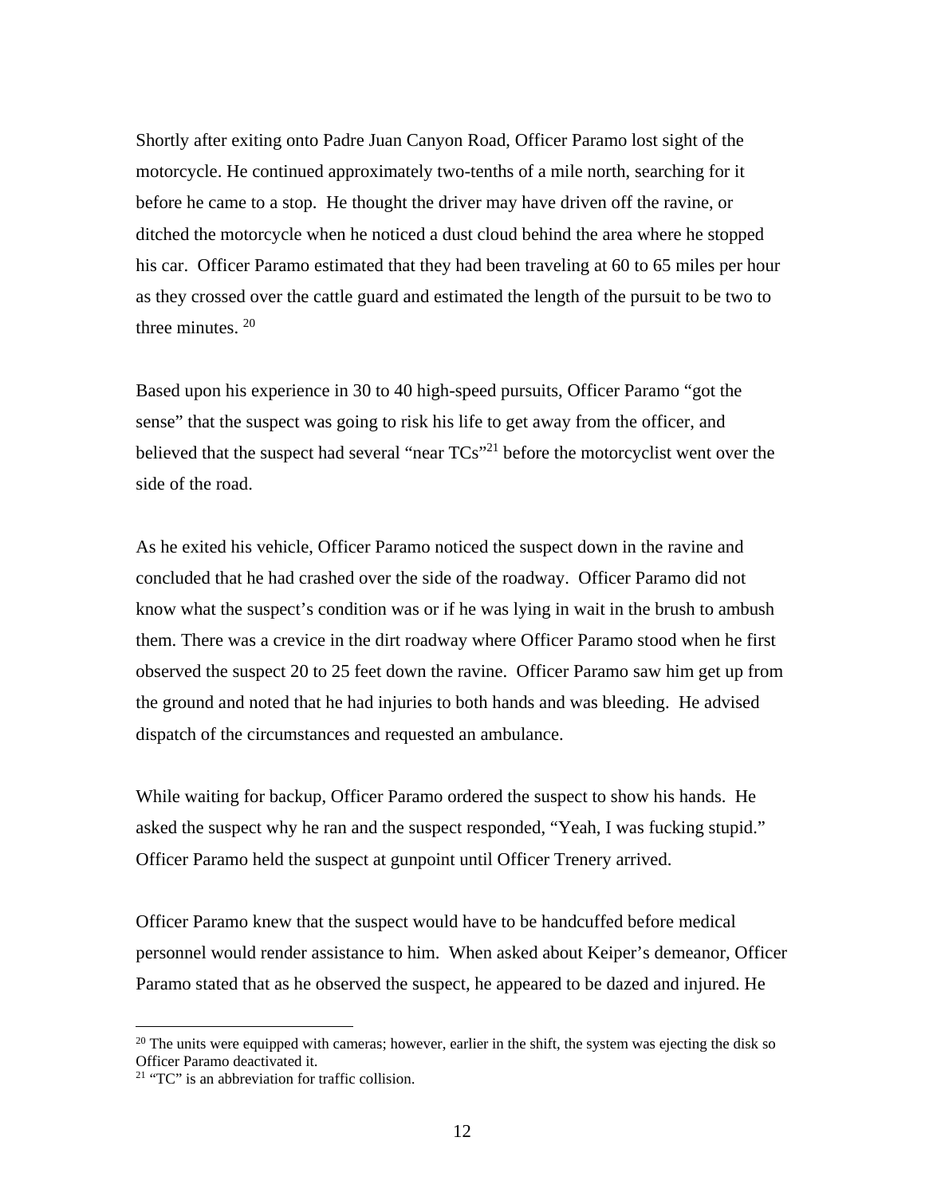Shortly after exiting onto Padre Juan Canyon Road, Officer Paramo lost sight of the motorcycle. He continued approximately two-tenths of a mile north, searching for it before he came to a stop. He thought the driver may have driven off the ravine, or ditched the motorcycle when he noticed a dust cloud behind the area where he stopped his car. Officer Paramo estimated that they had been traveling at 60 to 65 miles per hour as they crossed over the cattle guard and estimated the length of the pursuit to be two to three minutes.  $20$ 

Based upon his experience in 30 to 40 high-speed pursuits, Officer Paramo "got the sense" that the suspect was going to risk his life to get away from the officer, and believed that the suspect had several "near  $TCs$ "<sup>21</sup> before the motorcyclist went over the side of the road.

As he exited his vehicle, Officer Paramo noticed the suspect down in the ravine and concluded that he had crashed over the side of the roadway. Officer Paramo did not know what the suspect's condition was or if he was lying in wait in the brush to ambush them. There was a crevice in the dirt roadway where Officer Paramo stood when he first observed the suspect 20 to 25 feet down the ravine. Officer Paramo saw him get up from the ground and noted that he had injuries to both hands and was bleeding. He advised dispatch of the circumstances and requested an ambulance.

While waiting for backup, Officer Paramo ordered the suspect to show his hands. He asked the suspect why he ran and the suspect responded, "Yeah, I was fucking stupid." Officer Paramo held the suspect at gunpoint until Officer Trenery arrived.

Officer Paramo knew that the suspect would have to be handcuffed before medical personnel would render assistance to him. When asked about Keiper's demeanor, Officer Paramo stated that as he observed the suspect, he appeared to be dazed and injured. He

 $20$  The units were equipped with cameras; however, earlier in the shift, the system was ejecting the disk so Officer Paramo deactivated it.

<sup>&</sup>lt;sup>21</sup> "TC" is an abbreviation for traffic collision.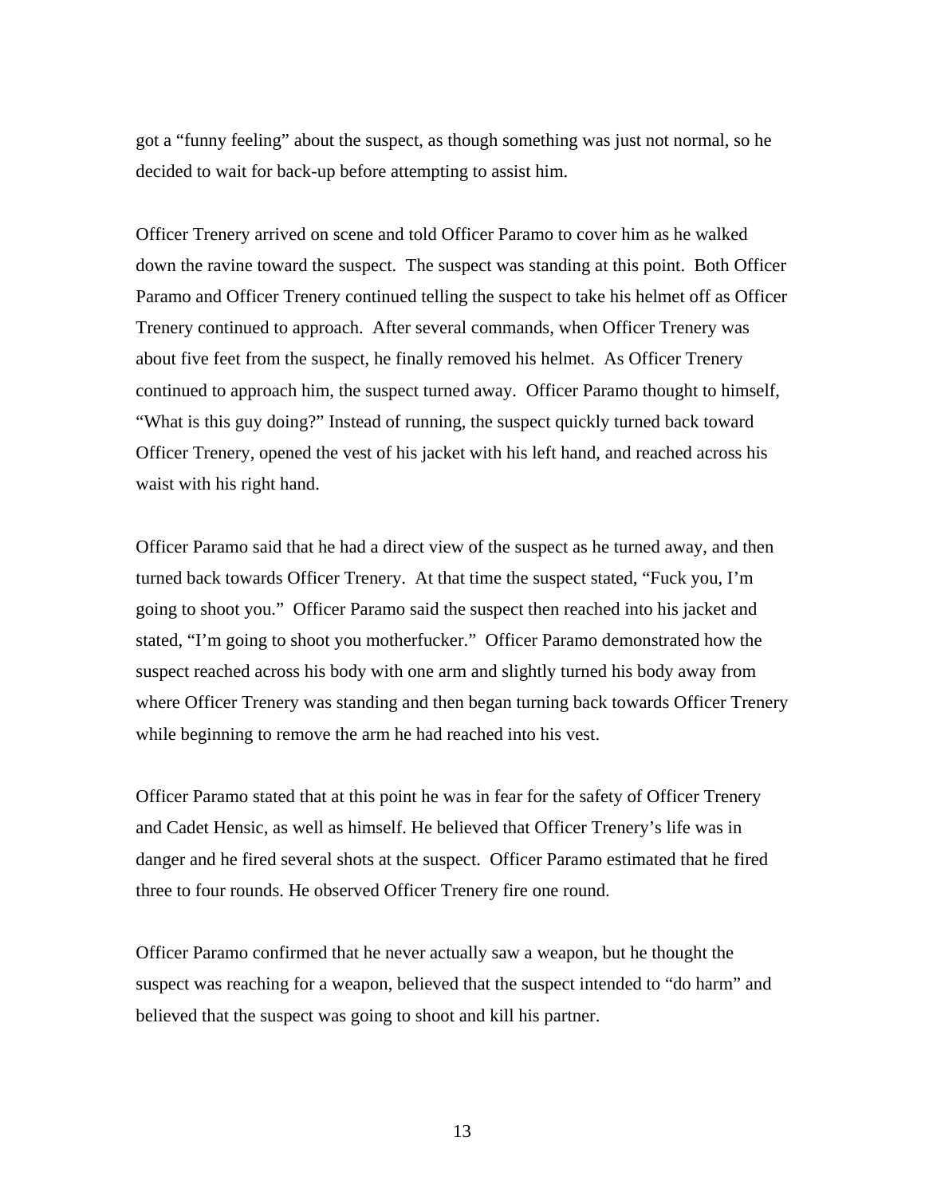got a "funny feeling" about the suspect, as though something was just not normal, so he decided to wait for back-up before attempting to assist him.

Officer Trenery arrived on scene and told Officer Paramo to cover him as he walked down the ravine toward the suspect. The suspect was standing at this point. Both Officer Paramo and Officer Trenery continued telling the suspect to take his helmet off as Officer Trenery continued to approach. After several commands, when Officer Trenery was about five feet from the suspect, he finally removed his helmet. As Officer Trenery continued to approach him, the suspect turned away. Officer Paramo thought to himself, "What is this guy doing?" Instead of running, the suspect quickly turned back toward Officer Trenery, opened the vest of his jacket with his left hand, and reached across his waist with his right hand.

Officer Paramo said that he had a direct view of the suspect as he turned away, and then turned back towards Officer Trenery. At that time the suspect stated, "Fuck you, I'm going to shoot you." Officer Paramo said the suspect then reached into his jacket and stated, "I'm going to shoot you motherfucker." Officer Paramo demonstrated how the suspect reached across his body with one arm and slightly turned his body away from where Officer Trenery was standing and then began turning back towards Officer Trenery while beginning to remove the arm he had reached into his vest.

Officer Paramo stated that at this point he was in fear for the safety of Officer Trenery and Cadet Hensic, as well as himself. He believed that Officer Trenery's life was in danger and he fired several shots at the suspect. Officer Paramo estimated that he fired three to four rounds. He observed Officer Trenery fire one round.

Officer Paramo confirmed that he never actually saw a weapon, but he thought the suspect was reaching for a weapon, believed that the suspect intended to "do harm" and believed that the suspect was going to shoot and kill his partner.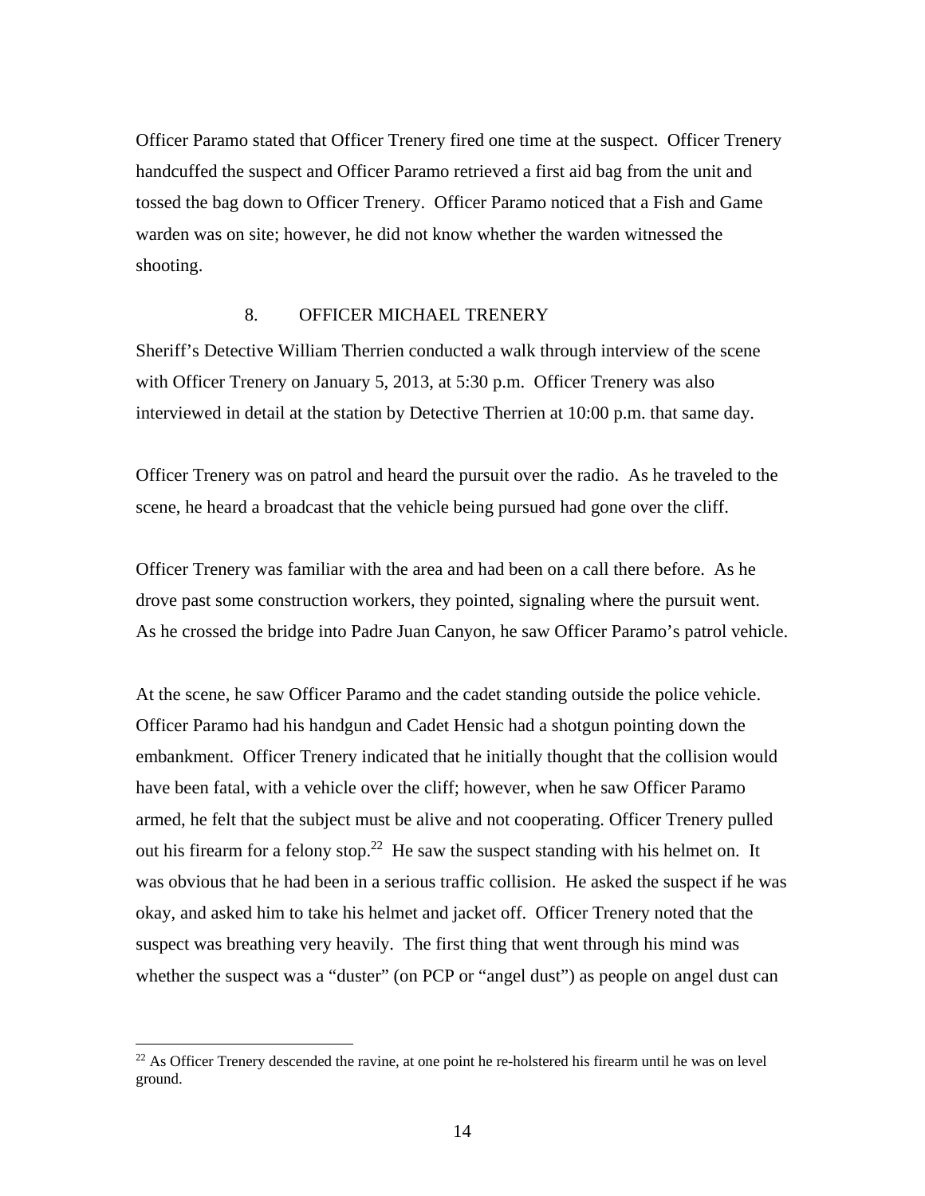Officer Paramo stated that Officer Trenery fired one time at the suspect. Officer Trenery handcuffed the suspect and Officer Paramo retrieved a first aid bag from the unit and tossed the bag down to Officer Trenery. Officer Paramo noticed that a Fish and Game warden was on site; however, he did not know whether the warden witnessed the shooting.

### 8. OFFICER MICHAEL TRENERY

Sheriff's Detective William Therrien conducted a walk through interview of the scene with Officer Trenery on January 5, 2013, at 5:30 p.m. Officer Trenery was also interviewed in detail at the station by Detective Therrien at 10:00 p.m. that same day.

Officer Trenery was on patrol and heard the pursuit over the radio. As he traveled to the scene, he heard a broadcast that the vehicle being pursued had gone over the cliff.

Officer Trenery was familiar with the area and had been on a call there before. As he drove past some construction workers, they pointed, signaling where the pursuit went. As he crossed the bridge into Padre Juan Canyon, he saw Officer Paramo's patrol vehicle.

At the scene, he saw Officer Paramo and the cadet standing outside the police vehicle. Officer Paramo had his handgun and Cadet Hensic had a shotgun pointing down the embankment. Officer Trenery indicated that he initially thought that the collision would have been fatal, with a vehicle over the cliff; however, when he saw Officer Paramo armed, he felt that the subject must be alive and not cooperating. Officer Trenery pulled out his firearm for a felony stop.<sup>22</sup> He saw the suspect standing with his helmet on. It was obvious that he had been in a serious traffic collision. He asked the suspect if he was okay, and asked him to take his helmet and jacket off. Officer Trenery noted that the suspect was breathing very heavily. The first thing that went through his mind was whether the suspect was a "duster" (on PCP or "angel dust") as people on angel dust can

<sup>&</sup>lt;sup>22</sup> As Officer Trenery descended the ravine, at one point he re-holstered his firearm until he was on level ground.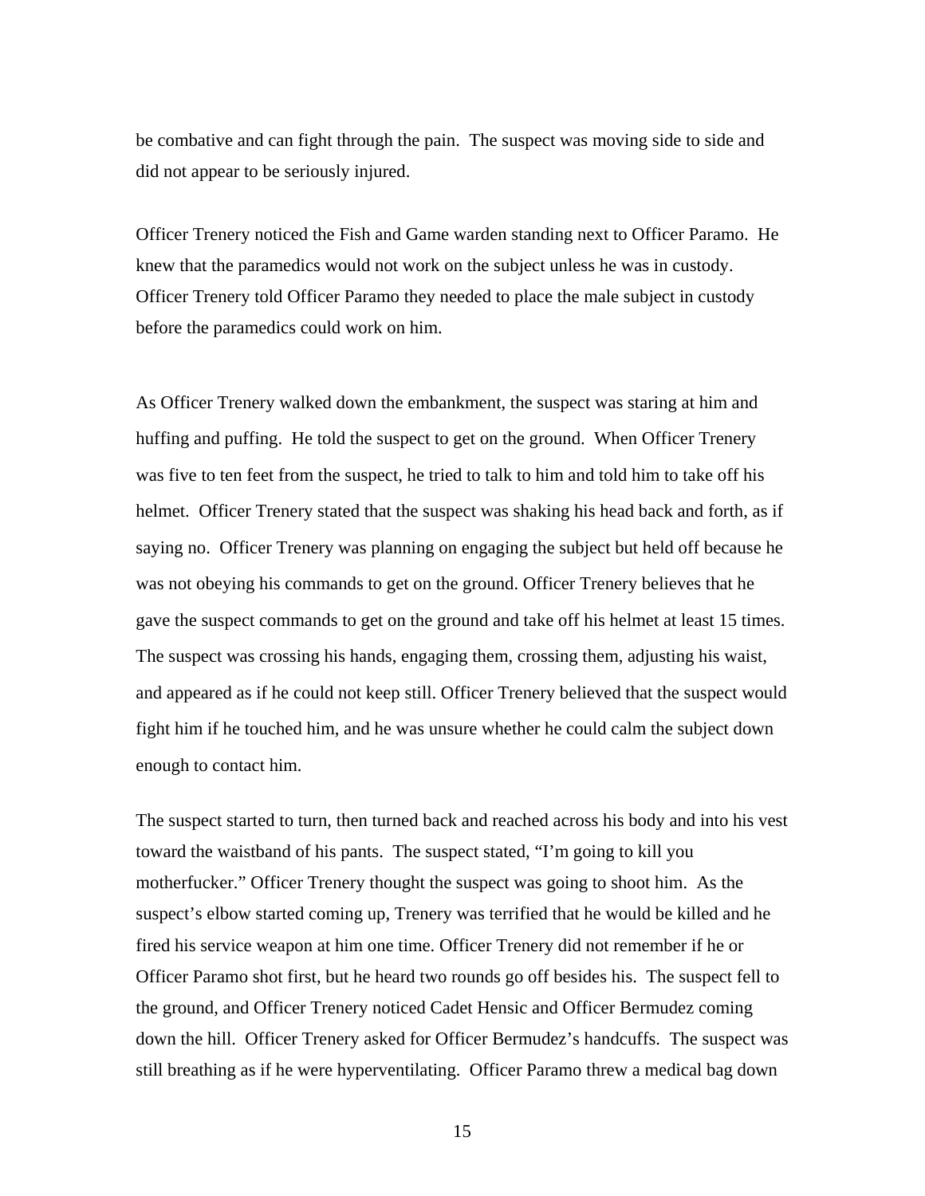be combative and can fight through the pain. The suspect was moving side to side and did not appear to be seriously injured.

Officer Trenery noticed the Fish and Game warden standing next to Officer Paramo. He knew that the paramedics would not work on the subject unless he was in custody. Officer Trenery told Officer Paramo they needed to place the male subject in custody before the paramedics could work on him.

As Officer Trenery walked down the embankment, the suspect was staring at him and huffing and puffing. He told the suspect to get on the ground. When Officer Trenery was five to ten feet from the suspect, he tried to talk to him and told him to take off his helmet. Officer Trenery stated that the suspect was shaking his head back and forth, as if saying no. Officer Trenery was planning on engaging the subject but held off because he was not obeying his commands to get on the ground. Officer Trenery believes that he gave the suspect commands to get on the ground and take off his helmet at least 15 times. The suspect was crossing his hands, engaging them, crossing them, adjusting his waist, and appeared as if he could not keep still. Officer Trenery believed that the suspect would fight him if he touched him, and he was unsure whether he could calm the subject down enough to contact him.

The suspect started to turn, then turned back and reached across his body and into his vest toward the waistband of his pants. The suspect stated, "I'm going to kill you motherfucker." Officer Trenery thought the suspect was going to shoot him. As the suspect's elbow started coming up, Trenery was terrified that he would be killed and he fired his service weapon at him one time. Officer Trenery did not remember if he or Officer Paramo shot first, but he heard two rounds go off besides his. The suspect fell to the ground, and Officer Trenery noticed Cadet Hensic and Officer Bermudez coming down the hill. Officer Trenery asked for Officer Bermudez's handcuffs. The suspect was still breathing as if he were hyperventilating. Officer Paramo threw a medical bag down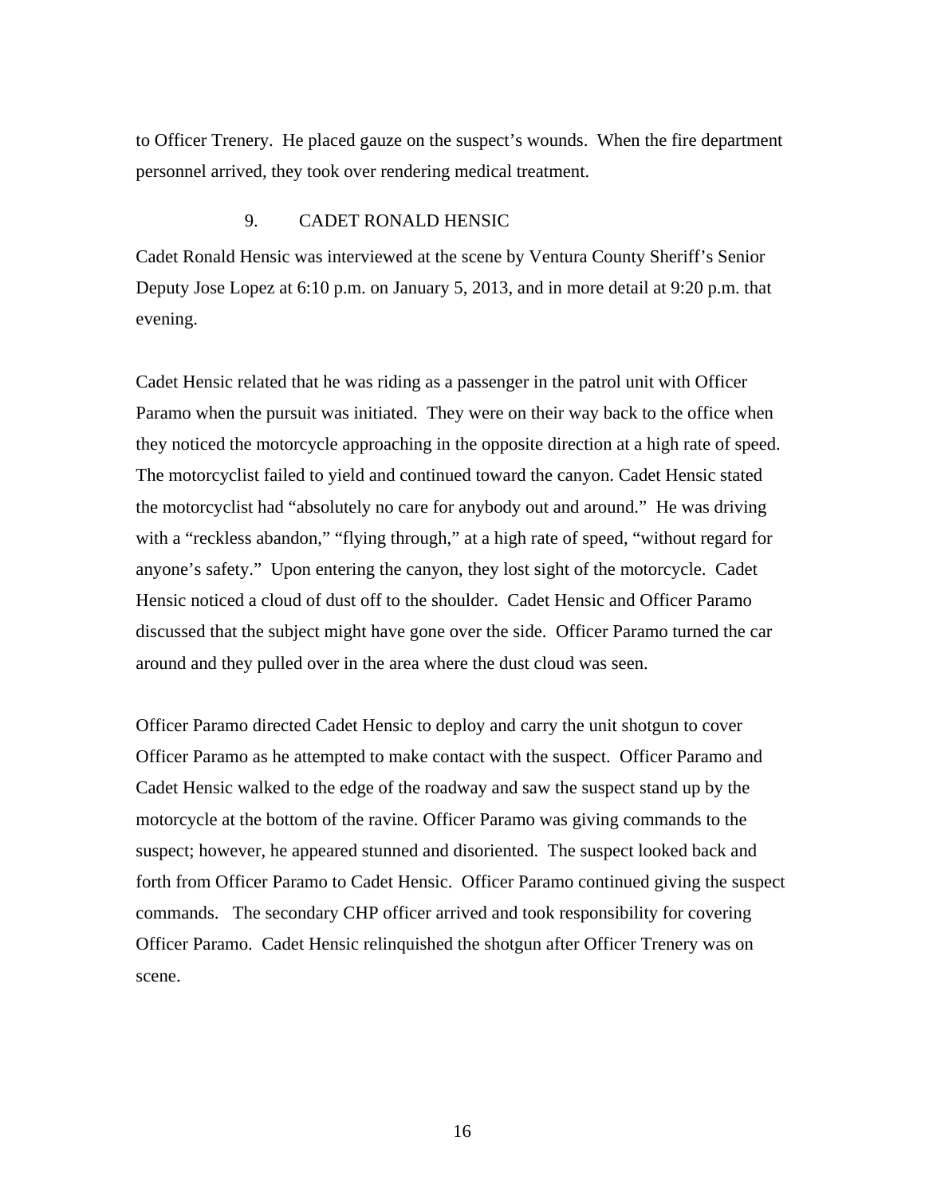to Officer Trenery. He placed gauze on the suspect's wounds. When the fire department personnel arrived, they took over rendering medical treatment.

### 9. CADET RONALD HENSIC

Cadet Ronald Hensic was interviewed at the scene by Ventura County Sheriff's Senior Deputy Jose Lopez at 6:10 p.m. on January 5, 2013, and in more detail at 9:20 p.m. that evening.

Cadet Hensic related that he was riding as a passenger in the patrol unit with Officer Paramo when the pursuit was initiated. They were on their way back to the office when they noticed the motorcycle approaching in the opposite direction at a high rate of speed. The motorcyclist failed to yield and continued toward the canyon. Cadet Hensic stated the motorcyclist had "absolutely no care for anybody out and around." He was driving with a "reckless abandon," "flying through," at a high rate of speed, "without regard for anyone's safety." Upon entering the canyon, they lost sight of the motorcycle. Cadet Hensic noticed a cloud of dust off to the shoulder. Cadet Hensic and Officer Paramo discussed that the subject might have gone over the side. Officer Paramo turned the car around and they pulled over in the area where the dust cloud was seen.

Officer Paramo directed Cadet Hensic to deploy and carry the unit shotgun to cover Officer Paramo as he attempted to make contact with the suspect. Officer Paramo and Cadet Hensic walked to the edge of the roadway and saw the suspect stand up by the motorcycle at the bottom of the ravine. Officer Paramo was giving commands to the suspect; however, he appeared stunned and disoriented. The suspect looked back and forth from Officer Paramo to Cadet Hensic. Officer Paramo continued giving the suspect commands. The secondary CHP officer arrived and took responsibility for covering Officer Paramo. Cadet Hensic relinquished the shotgun after Officer Trenery was on scene.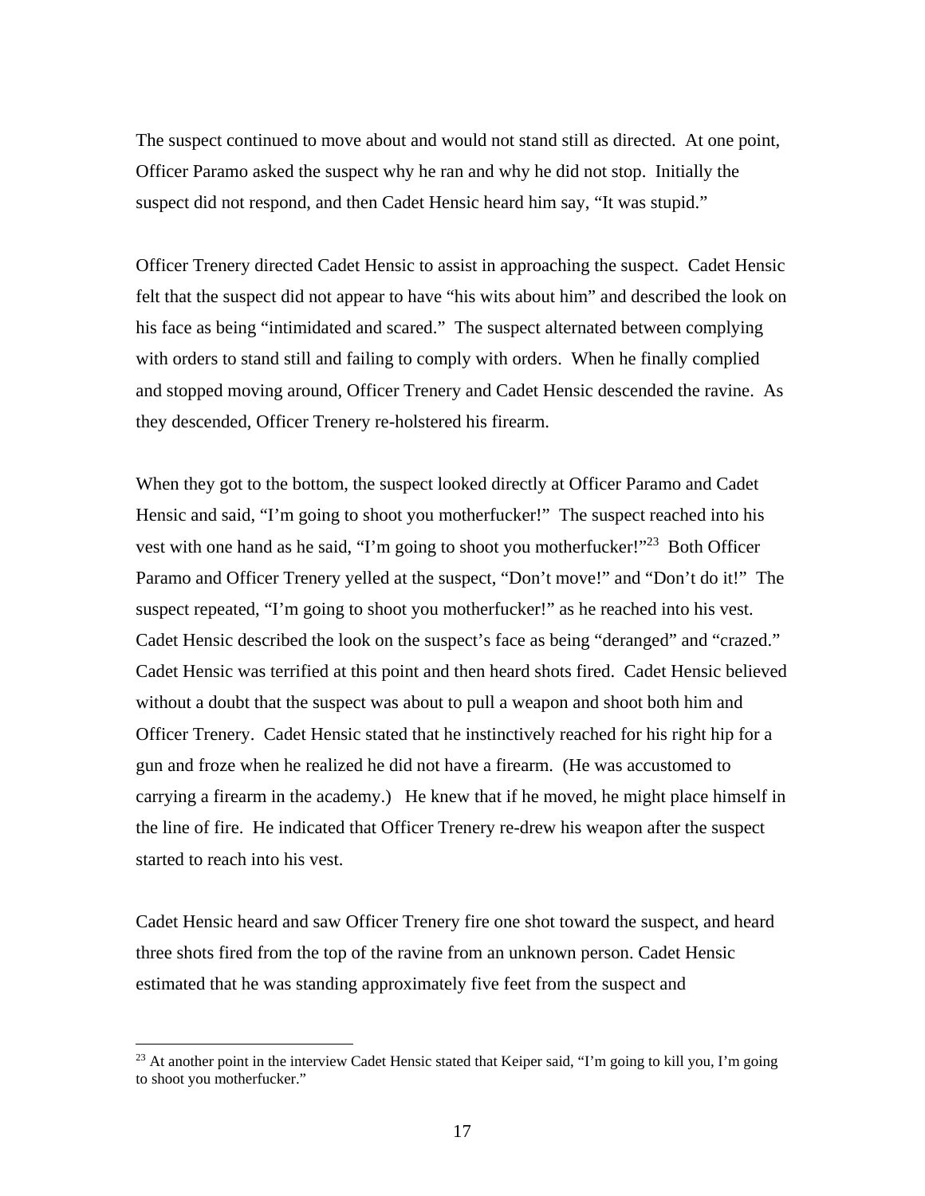The suspect continued to move about and would not stand still as directed. At one point, Officer Paramo asked the suspect why he ran and why he did not stop. Initially the suspect did not respond, and then Cadet Hensic heard him say, "It was stupid."

Officer Trenery directed Cadet Hensic to assist in approaching the suspect. Cadet Hensic felt that the suspect did not appear to have "his wits about him" and described the look on his face as being "intimidated and scared." The suspect alternated between complying with orders to stand still and failing to comply with orders. When he finally complied and stopped moving around, Officer Trenery and Cadet Hensic descended the ravine. As they descended, Officer Trenery re-holstered his firearm.

When they got to the bottom, the suspect looked directly at Officer Paramo and Cadet Hensic and said, "I'm going to shoot you motherfucker!" The suspect reached into his vest with one hand as he said, "I'm going to shoot you motherfucker!"<sup>23</sup> Both Officer Paramo and Officer Trenery yelled at the suspect, "Don't move!" and "Don't do it!" The suspect repeated, "I'm going to shoot you motherfucker!" as he reached into his vest. Cadet Hensic described the look on the suspect's face as being "deranged" and "crazed." Cadet Hensic was terrified at this point and then heard shots fired. Cadet Hensic believed without a doubt that the suspect was about to pull a weapon and shoot both him and Officer Trenery. Cadet Hensic stated that he instinctively reached for his right hip for a gun and froze when he realized he did not have a firearm. (He was accustomed to carrying a firearm in the academy.) He knew that if he moved, he might place himself in the line of fire. He indicated that Officer Trenery re-drew his weapon after the suspect started to reach into his vest.

Cadet Hensic heard and saw Officer Trenery fire one shot toward the suspect, and heard three shots fired from the top of the ravine from an unknown person. Cadet Hensic estimated that he was standing approximately five feet from the suspect and

<sup>&</sup>lt;sup>23</sup> At another point in the interview Cadet Hensic stated that Keiper said, "I'm going to kill you, I'm going to shoot you motherfucker."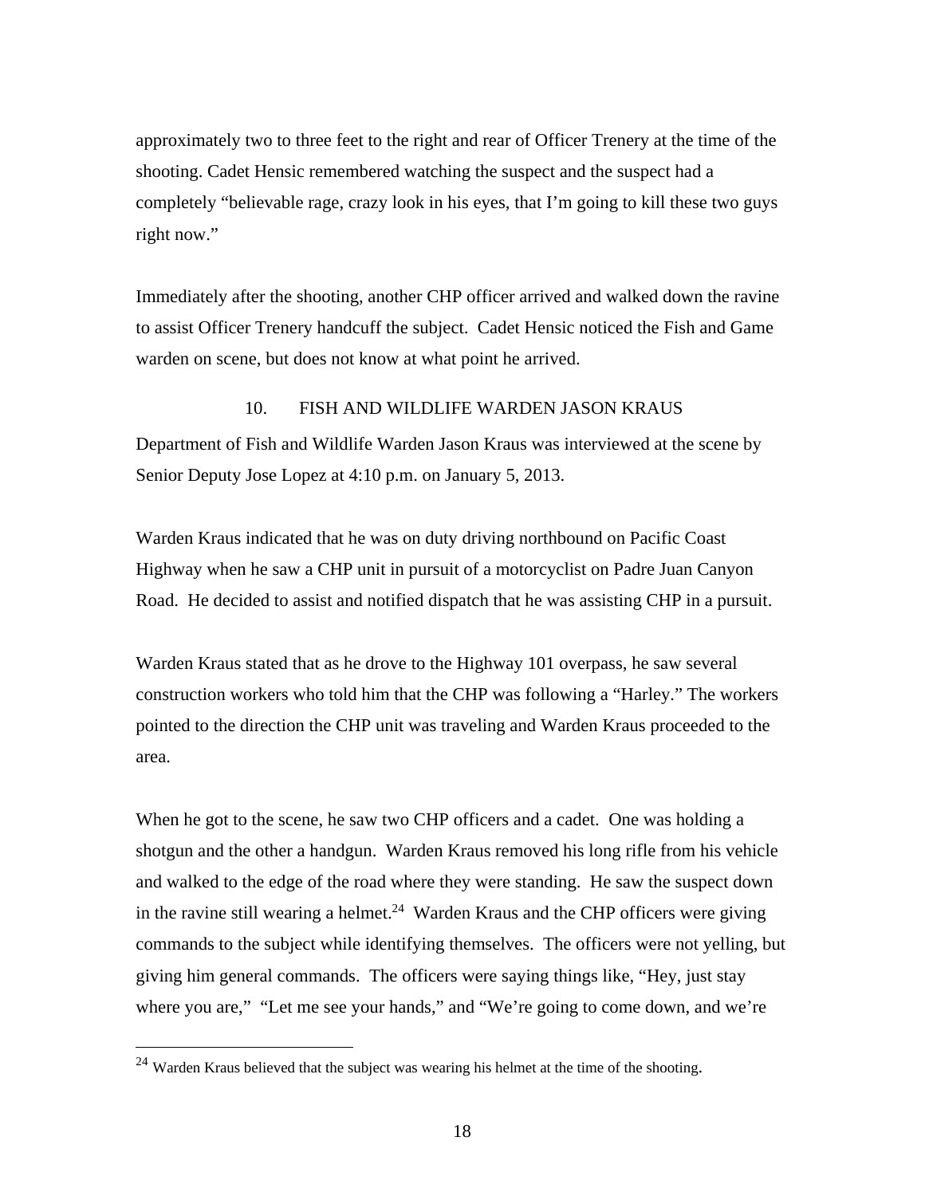approximately two to three feet to the right and rear of Officer Trenery at the time of the shooting. Cadet Hensic remembered watching the suspect and the suspect had a completely "believable rage, crazy look in his eyes, that I'm going to kill these two guys right now."

Immediately after the shooting, another CHP officer arrived and walked down the ravine to assist Officer Trenery handcuff the subject. Cadet Hensic noticed the Fish and Game warden on scene, but does not know at what point he arrived.

### 10. FISH AND WILDLIFE WARDEN JASON KRAUS

Department of Fish and Wildlife Warden Jason Kraus was interviewed at the scene by Senior Deputy Jose Lopez at 4:10 p.m. on January 5, 2013.

Warden Kraus indicated that he was on duty driving northbound on Pacific Coast Highway when he saw a CHP unit in pursuit of a motorcyclist on Padre Juan Canyon Road. He decided to assist and notified dispatch that he was assisting CHP in a pursuit.

Warden Kraus stated that as he drove to the Highway 101 overpass, he saw several construction workers who told him that the CHP was following a "Harley." The workers pointed to the direction the CHP unit was traveling and Warden Kraus proceeded to the area.

When he got to the scene, he saw two CHP officers and a cadet. One was holding a shotgun and the other a handgun. Warden Kraus removed his long rifle from his vehicle and walked to the edge of the road where they were standing. He saw the suspect down in the ravine still wearing a helmet.<sup>24</sup> Warden Kraus and the CHP officers were giving commands to the subject while identifying themselves. The officers were not yelling, but giving him general commands. The officers were saying things like, "Hey, just stay where you are," "Let me see your hands," and "We're going to come down, and we're

 $24$  Warden Kraus believed that the subject was wearing his helmet at the time of the shooting.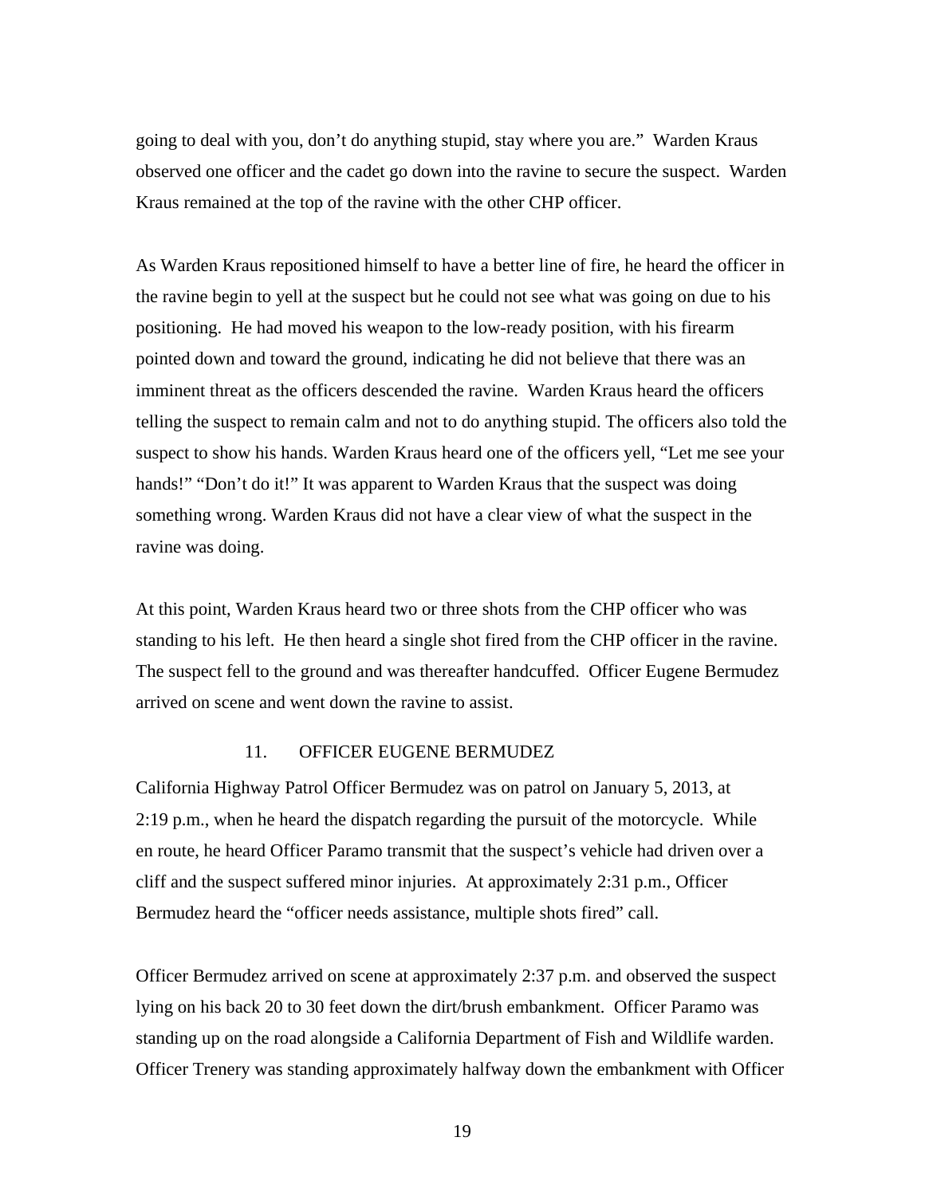going to deal with you, don't do anything stupid, stay where you are." Warden Kraus observed one officer and the cadet go down into the ravine to secure the suspect. Warden Kraus remained at the top of the ravine with the other CHP officer.

As Warden Kraus repositioned himself to have a better line of fire, he heard the officer in the ravine begin to yell at the suspect but he could not see what was going on due to his positioning. He had moved his weapon to the low-ready position, with his firearm pointed down and toward the ground, indicating he did not believe that there was an imminent threat as the officers descended the ravine. Warden Kraus heard the officers telling the suspect to remain calm and not to do anything stupid. The officers also told the suspect to show his hands. Warden Kraus heard one of the officers yell, "Let me see your hands!" "Don't do it!" It was apparent to Warden Kraus that the suspect was doing something wrong. Warden Kraus did not have a clear view of what the suspect in the ravine was doing.

At this point, Warden Kraus heard two or three shots from the CHP officer who was standing to his left. He then heard a single shot fired from the CHP officer in the ravine. The suspect fell to the ground and was thereafter handcuffed. Officer Eugene Bermudez arrived on scene and went down the ravine to assist.

### 11. OFFICER EUGENE BERMUDEZ

California Highway Patrol Officer Bermudez was on patrol on January 5, 2013, at 2:19 p.m., when he heard the dispatch regarding the pursuit of the motorcycle. While en route, he heard Officer Paramo transmit that the suspect's vehicle had driven over a cliff and the suspect suffered minor injuries. At approximately 2:31 p.m., Officer Bermudez heard the "officer needs assistance, multiple shots fired" call.

Officer Bermudez arrived on scene at approximately 2:37 p.m. and observed the suspect lying on his back 20 to 30 feet down the dirt/brush embankment. Officer Paramo was standing up on the road alongside a California Department of Fish and Wildlife warden. Officer Trenery was standing approximately halfway down the embankment with Officer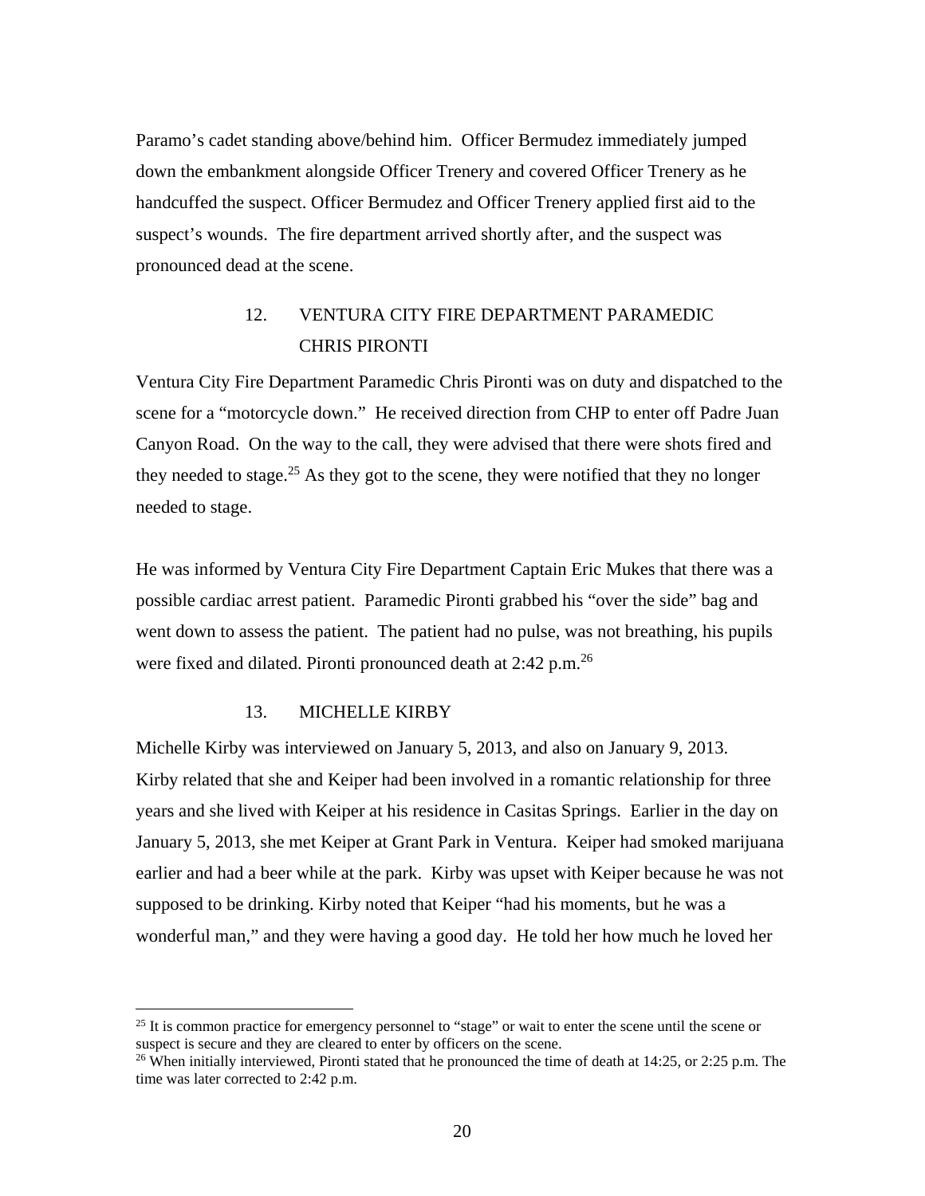Paramo's cadet standing above/behind him. Officer Bermudez immediately jumped down the embankment alongside Officer Trenery and covered Officer Trenery as he handcuffed the suspect. Officer Bermudez and Officer Trenery applied first aid to the suspect's wounds. The fire department arrived shortly after, and the suspect was pronounced dead at the scene.

## 12. VENTURA CITY FIRE DEPARTMENT PARAMEDIC CHRIS PIRONTI

Ventura City Fire Department Paramedic Chris Pironti was on duty and dispatched to the scene for a "motorcycle down." He received direction from CHP to enter off Padre Juan Canyon Road. On the way to the call, they were advised that there were shots fired and they needed to stage.<sup>25</sup> As they got to the scene, they were notified that they no longer needed to stage.

He was informed by Ventura City Fire Department Captain Eric Mukes that there was a possible cardiac arrest patient. Paramedic Pironti grabbed his "over the side" bag and went down to assess the patient. The patient had no pulse, was not breathing, his pupils were fixed and dilated. Pironti pronounced death at 2:42 p.m.<sup>26</sup>

### 13. MICHELLE KIRBY

<u>.</u>

Michelle Kirby was interviewed on January 5, 2013, and also on January 9, 2013. Kirby related that she and Keiper had been involved in a romantic relationship for three years and she lived with Keiper at his residence in Casitas Springs. Earlier in the day on January 5, 2013, she met Keiper at Grant Park in Ventura. Keiper had smoked marijuana earlier and had a beer while at the park. Kirby was upset with Keiper because he was not supposed to be drinking. Kirby noted that Keiper "had his moments, but he was a wonderful man," and they were having a good day. He told her how much he loved her

 $25$  It is common practice for emergency personnel to "stage" or wait to enter the scene until the scene or suspect is secure and they are cleared to enter by officers on the scene.

<sup>&</sup>lt;sup>26</sup> When initially interviewed, Pironti stated that he pronounced the time of death at  $14:25$ , or  $2:25$  p.m. The time was later corrected to 2:42 p.m.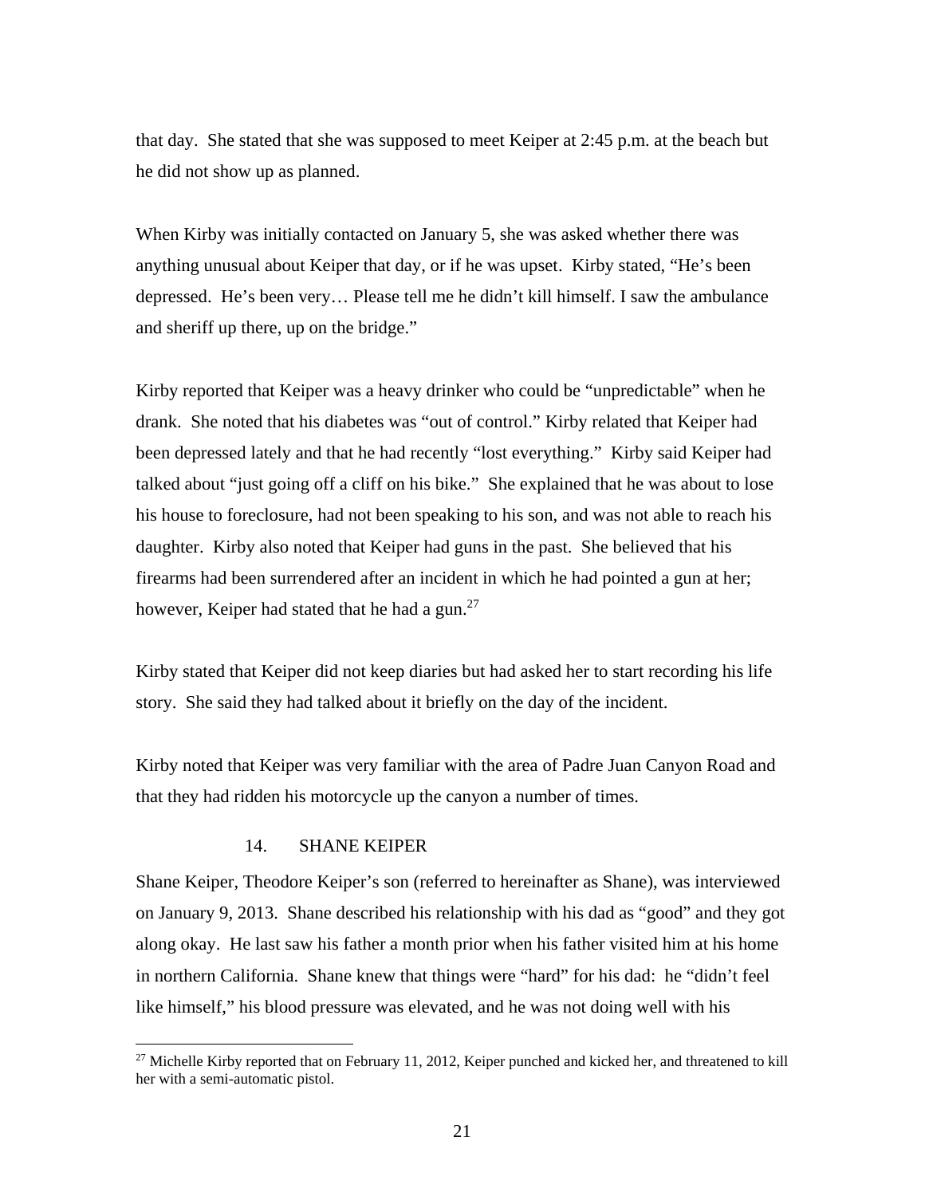that day. She stated that she was supposed to meet Keiper at 2:45 p.m. at the beach but he did not show up as planned.

When Kirby was initially contacted on January 5, she was asked whether there was anything unusual about Keiper that day, or if he was upset. Kirby stated, "He's been depressed. He's been very… Please tell me he didn't kill himself. I saw the ambulance and sheriff up there, up on the bridge."

Kirby reported that Keiper was a heavy drinker who could be "unpredictable" when he drank. She noted that his diabetes was "out of control." Kirby related that Keiper had been depressed lately and that he had recently "lost everything." Kirby said Keiper had talked about "just going off a cliff on his bike." She explained that he was about to lose his house to foreclosure, had not been speaking to his son, and was not able to reach his daughter. Kirby also noted that Keiper had guns in the past. She believed that his firearms had been surrendered after an incident in which he had pointed a gun at her; however, Keiper had stated that he had a gun.<sup>27</sup>

Kirby stated that Keiper did not keep diaries but had asked her to start recording his life story. She said they had talked about it briefly on the day of the incident.

Kirby noted that Keiper was very familiar with the area of Padre Juan Canyon Road and that they had ridden his motorcycle up the canyon a number of times.

### 14. SHANE KEIPER

 $\overline{a}$ 

Shane Keiper, Theodore Keiper's son (referred to hereinafter as Shane), was interviewed on January 9, 2013. Shane described his relationship with his dad as "good" and they got along okay. He last saw his father a month prior when his father visited him at his home in northern California. Shane knew that things were "hard" for his dad: he "didn't feel like himself," his blood pressure was elevated, and he was not doing well with his

<sup>&</sup>lt;sup>27</sup> Michelle Kirby reported that on February 11, 2012, Keiper punched and kicked her, and threatened to kill her with a semi-automatic pistol.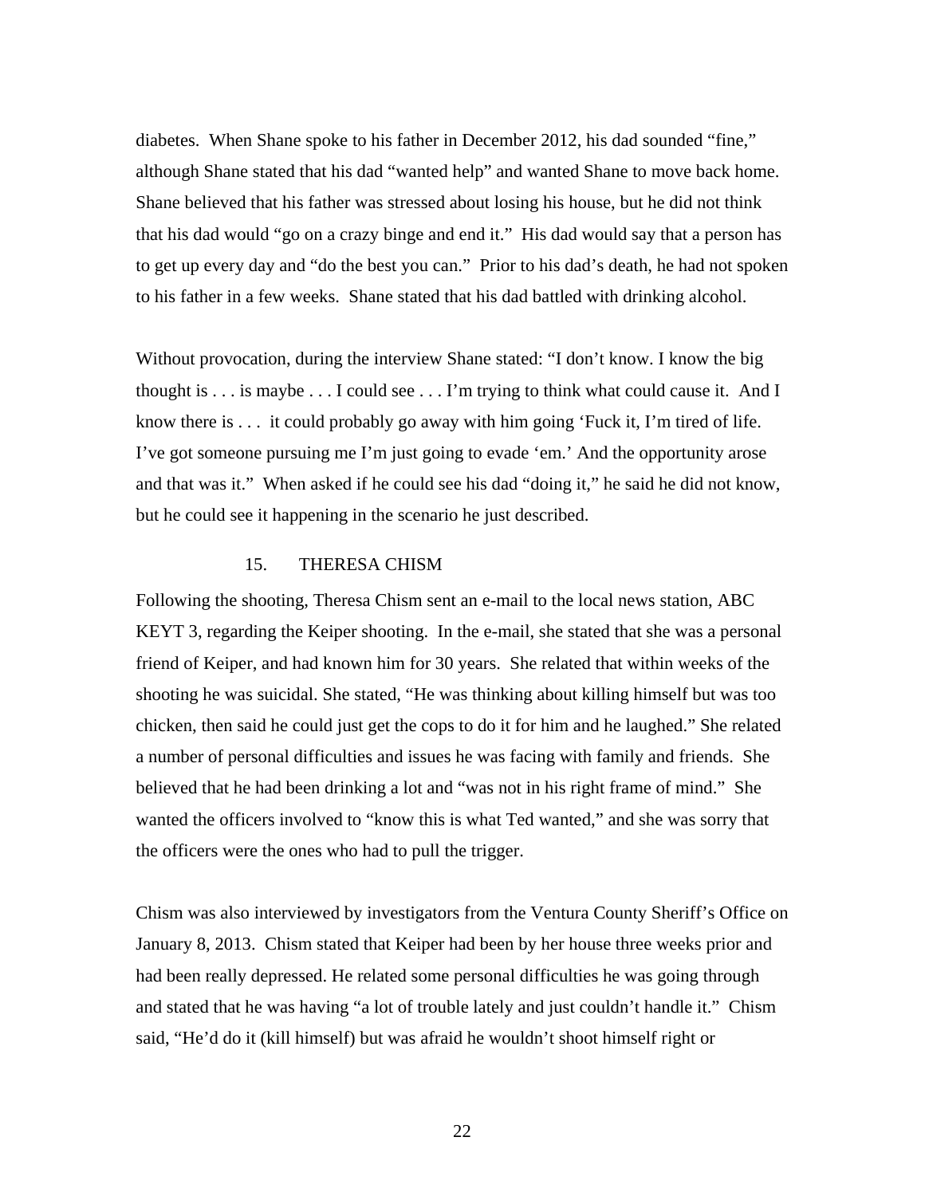diabetes. When Shane spoke to his father in December 2012, his dad sounded "fine," although Shane stated that his dad "wanted help" and wanted Shane to move back home. Shane believed that his father was stressed about losing his house, but he did not think that his dad would "go on a crazy binge and end it." His dad would say that a person has to get up every day and "do the best you can." Prior to his dad's death, he had not spoken to his father in a few weeks. Shane stated that his dad battled with drinking alcohol.

Without provocation, during the interview Shane stated: "I don't know. I know the big thought is . . . is maybe . . . I could see . . . I'm trying to think what could cause it. And I know there is . . . it could probably go away with him going 'Fuck it, I'm tired of life. I've got someone pursuing me I'm just going to evade 'em.' And the opportunity arose and that was it." When asked if he could see his dad "doing it," he said he did not know, but he could see it happening in the scenario he just described.

## 15. THERESA CHISM

Following the shooting, Theresa Chism sent an e-mail to the local news station, ABC KEYT 3, regarding the Keiper shooting. In the e-mail, she stated that she was a personal friend of Keiper, and had known him for 30 years. She related that within weeks of the shooting he was suicidal. She stated, "He was thinking about killing himself but was too chicken, then said he could just get the cops to do it for him and he laughed." She related a number of personal difficulties and issues he was facing with family and friends. She believed that he had been drinking a lot and "was not in his right frame of mind." She wanted the officers involved to "know this is what Ted wanted," and she was sorry that the officers were the ones who had to pull the trigger.

Chism was also interviewed by investigators from the Ventura County Sheriff's Office on January 8, 2013. Chism stated that Keiper had been by her house three weeks prior and had been really depressed. He related some personal difficulties he was going through and stated that he was having "a lot of trouble lately and just couldn't handle it." Chism said, "He'd do it (kill himself) but was afraid he wouldn't shoot himself right or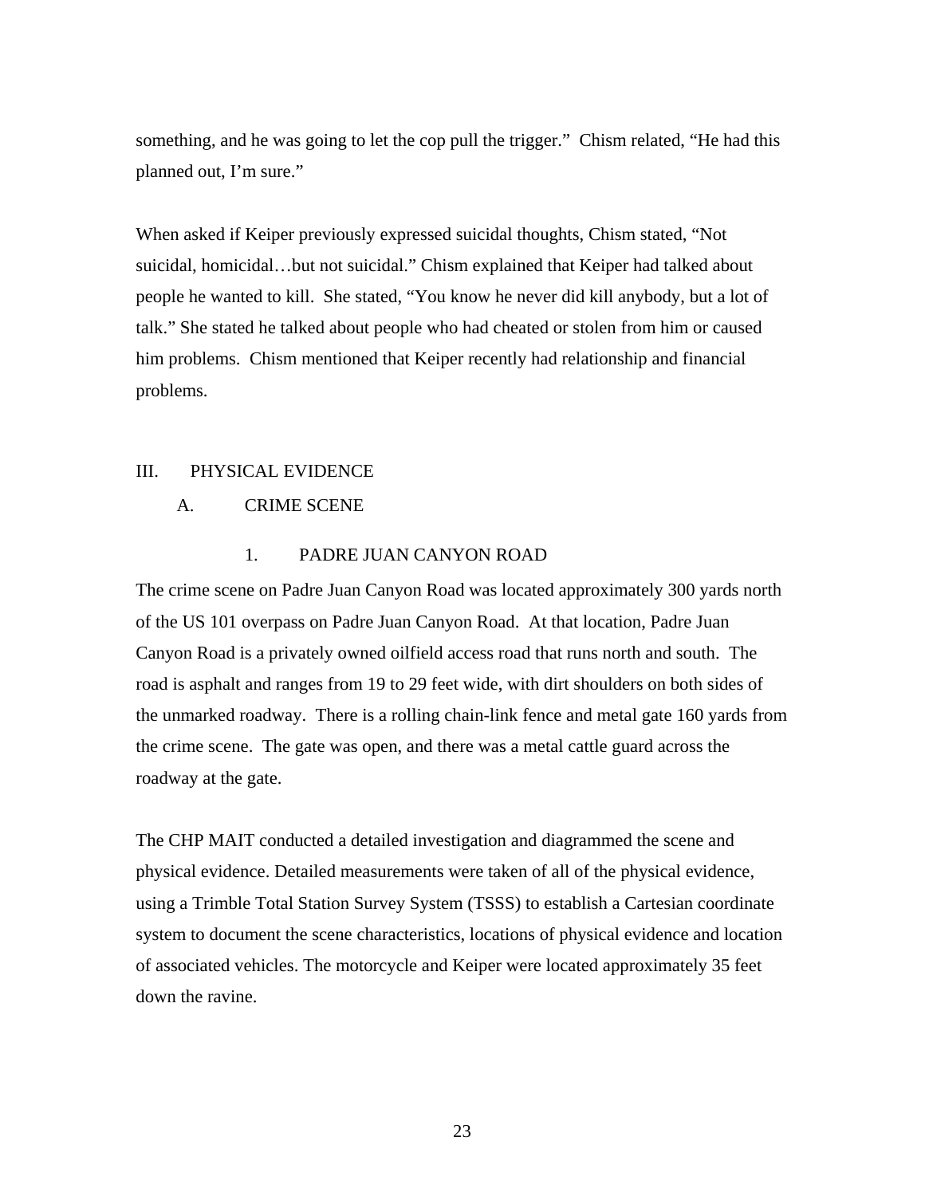something, and he was going to let the cop pull the trigger." Chism related, "He had this planned out, I'm sure."

When asked if Keiper previously expressed suicidal thoughts, Chism stated, "Not suicidal, homicidal…but not suicidal." Chism explained that Keiper had talked about people he wanted to kill. She stated, "You know he never did kill anybody, but a lot of talk." She stated he talked about people who had cheated or stolen from him or caused him problems. Chism mentioned that Keiper recently had relationship and financial problems.

### III. PHYSICAL EVIDENCE

### A. CRIME SCENE

### 1. PADRE JUAN CANYON ROAD

The crime scene on Padre Juan Canyon Road was located approximately 300 yards north of the US 101 overpass on Padre Juan Canyon Road. At that location, Padre Juan Canyon Road is a privately owned oilfield access road that runs north and south. The road is asphalt and ranges from 19 to 29 feet wide, with dirt shoulders on both sides of the unmarked roadway. There is a rolling chain-link fence and metal gate 160 yards from the crime scene. The gate was open, and there was a metal cattle guard across the roadway at the gate.

The CHP MAIT conducted a detailed investigation and diagrammed the scene and physical evidence. Detailed measurements were taken of all of the physical evidence, using a Trimble Total Station Survey System (TSSS) to establish a Cartesian coordinate system to document the scene characteristics, locations of physical evidence and location of associated vehicles. The motorcycle and Keiper were located approximately 35 feet down the ravine.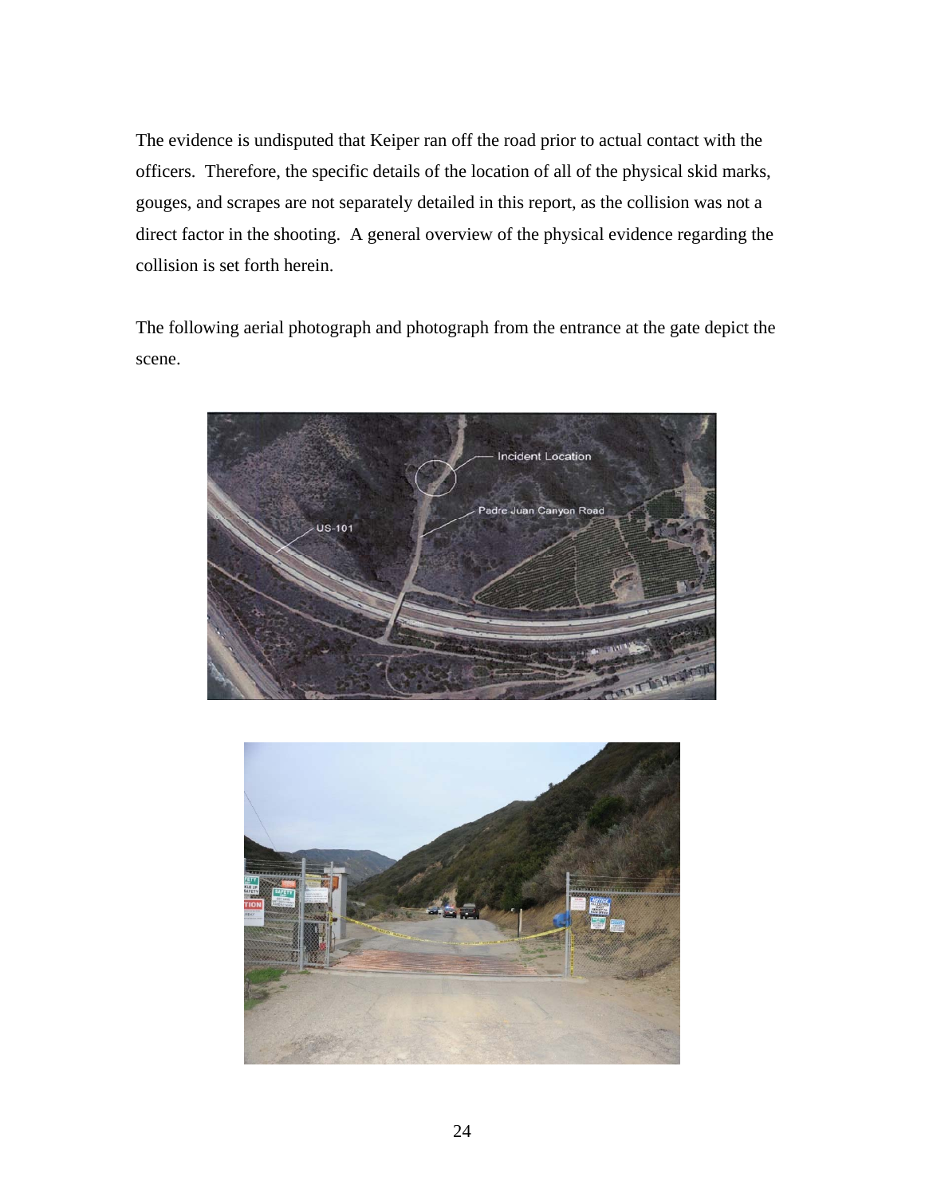The evidence is undisputed that Keiper ran off the road prior to actual contact with the officers. Therefore, the specific details of the location of all of the physical skid marks, gouges, and scrapes are not separately detailed in this report, as the collision was not a direct factor in the shooting. A general overview of the physical evidence regarding the collision is set forth herein.

The following aerial photograph and photograph from the entrance at the gate depict the scene.



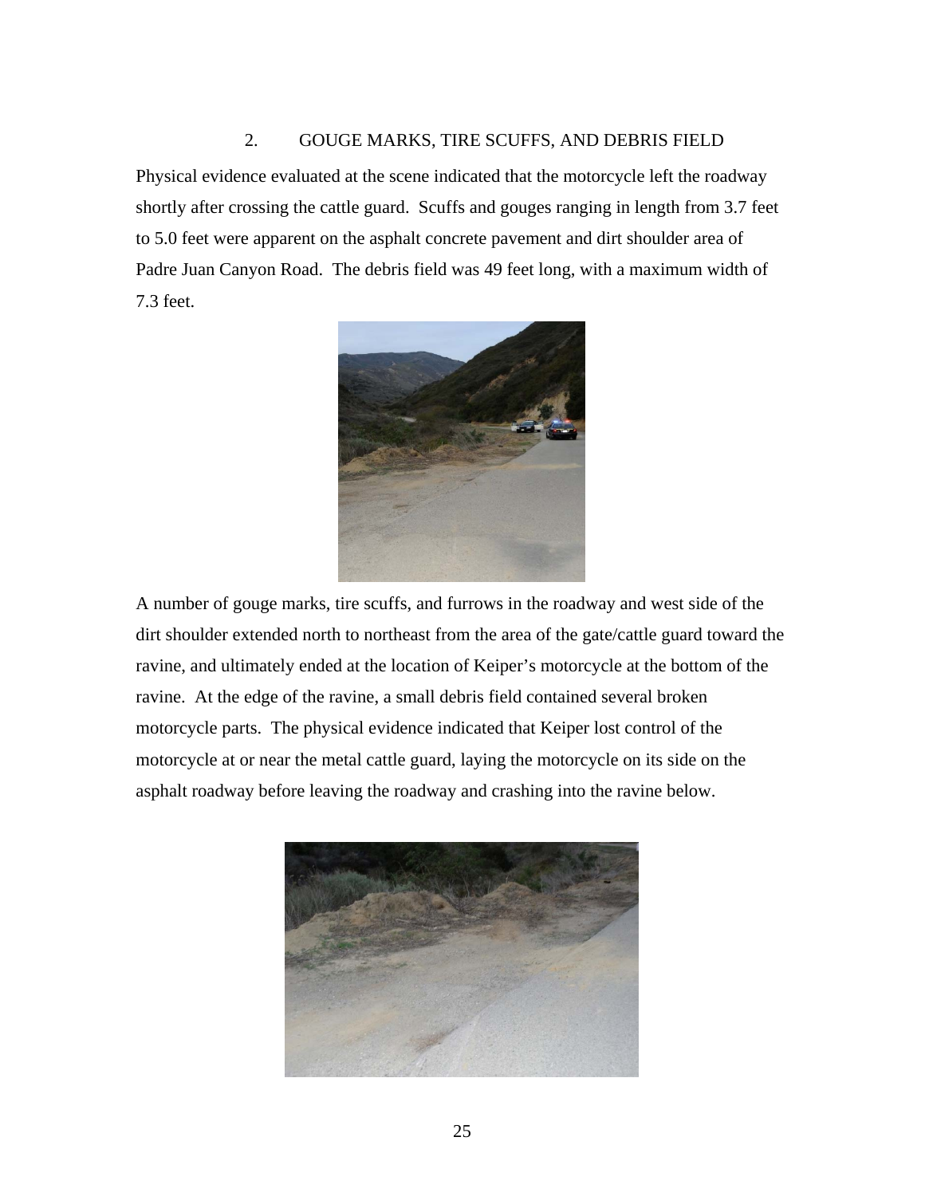## 2. GOUGE MARKS, TIRE SCUFFS, AND DEBRIS FIELD

Physical evidence evaluated at the scene indicated that the motorcycle left the roadway shortly after crossing the cattle guard. Scuffs and gouges ranging in length from 3.7 feet to 5.0 feet were apparent on the asphalt concrete pavement and dirt shoulder area of Padre Juan Canyon Road. The debris field was 49 feet long, with a maximum width of 7.3 feet.



A number of gouge marks, tire scuffs, and furrows in the roadway and west side of the dirt shoulder extended north to northeast from the area of the gate/cattle guard toward the ravine, and ultimately ended at the location of Keiper's motorcycle at the bottom of the ravine. At the edge of the ravine, a small debris field contained several broken motorcycle parts. The physical evidence indicated that Keiper lost control of the motorcycle at or near the metal cattle guard, laying the motorcycle on its side on the asphalt roadway before leaving the roadway and crashing into the ravine below.

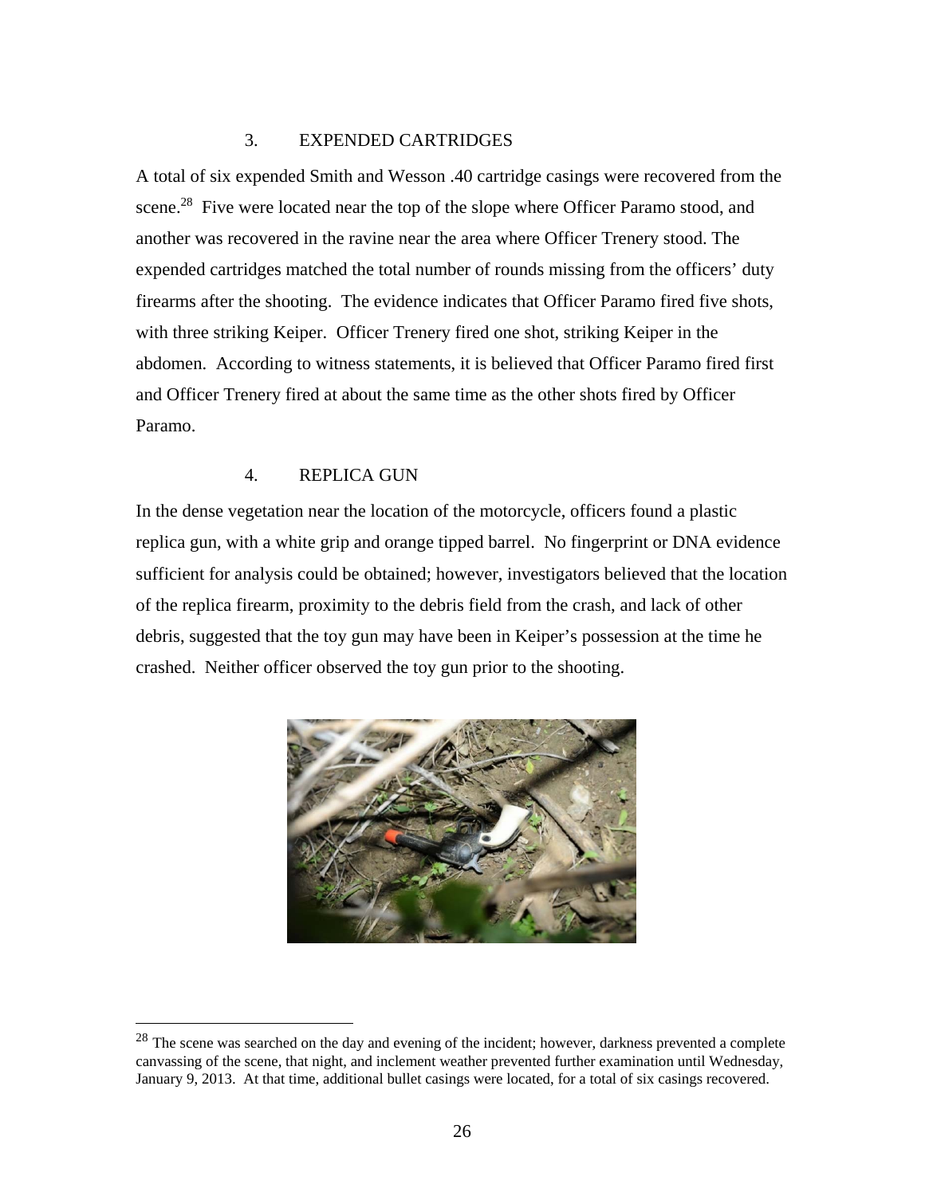## 3. EXPENDED CARTRIDGES

A total of six expended Smith and Wesson .40 cartridge casings were recovered from the scene.<sup>28</sup> Five were located near the top of the slope where Officer Paramo stood, and another was recovered in the ravine near the area where Officer Trenery stood. The expended cartridges matched the total number of rounds missing from the officers' duty firearms after the shooting. The evidence indicates that Officer Paramo fired five shots, with three striking Keiper. Officer Trenery fired one shot, striking Keiper in the abdomen. According to witness statements, it is believed that Officer Paramo fired first and Officer Trenery fired at about the same time as the other shots fired by Officer Paramo.

### 4. REPLICA GUN

 $\overline{a}$ 

In the dense vegetation near the location of the motorcycle, officers found a plastic replica gun, with a white grip and orange tipped barrel. No fingerprint or DNA evidence sufficient for analysis could be obtained; however, investigators believed that the location of the replica firearm, proximity to the debris field from the crash, and lack of other debris, suggested that the toy gun may have been in Keiper's possession at the time he crashed. Neither officer observed the toy gun prior to the shooting.



<sup>&</sup>lt;sup>28</sup> The scene was searched on the day and evening of the incident; however, darkness prevented a complete canvassing of the scene, that night, and inclement weather prevented further examination until Wednesday, January 9, 2013. At that time, additional bullet casings were located, for a total of six casings recovered.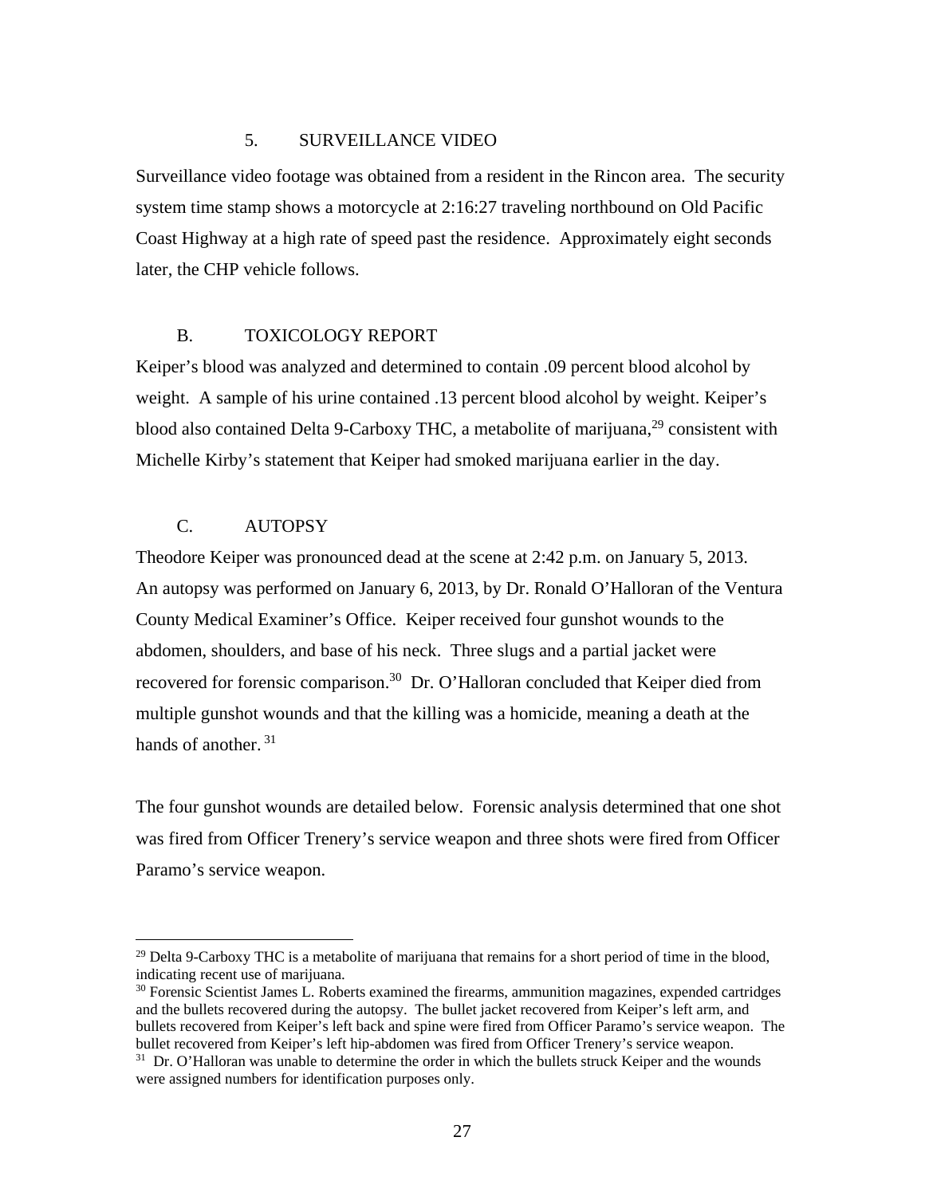### 5. SURVEILLANCE VIDEO

Surveillance video footage was obtained from a resident in the Rincon area. The security system time stamp shows a motorcycle at 2:16:27 traveling northbound on Old Pacific Coast Highway at a high rate of speed past the residence. Approximately eight seconds later, the CHP vehicle follows.

## B. TOXICOLOGY REPORT

Keiper's blood was analyzed and determined to contain .09 percent blood alcohol by weight. A sample of his urine contained .13 percent blood alcohol by weight. Keiper's blood also contained Delta 9-Carboxy THC, a metabolite of marijuana, $^{29}$  consistent with Michelle Kirby's statement that Keiper had smoked marijuana earlier in the day.

## C. AUTOPSY

 $\overline{a}$ 

Theodore Keiper was pronounced dead at the scene at 2:42 p.m. on January 5, 2013. An autopsy was performed on January 6, 2013, by Dr. Ronald O'Halloran of the Ventura County Medical Examiner's Office. Keiper received four gunshot wounds to the abdomen, shoulders, and base of his neck. Three slugs and a partial jacket were recovered for forensic comparison.<sup>30</sup> Dr. O'Halloran concluded that Keiper died from multiple gunshot wounds and that the killing was a homicide, meaning a death at the hands of another.<sup>31</sup>

The four gunshot wounds are detailed below. Forensic analysis determined that one shot was fired from Officer Trenery's service weapon and three shots were fired from Officer Paramo's service weapon.

<sup>&</sup>lt;sup>29</sup> Delta 9-Carboxy THC is a metabolite of marijuana that remains for a short period of time in the blood, indicating recent use of marijuana.

<sup>30</sup> Forensic Scientist James L. Roberts examined the firearms, ammunition magazines, expended cartridges and the bullets recovered during the autopsy. The bullet jacket recovered from Keiper's left arm, and bullets recovered from Keiper's left back and spine were fired from Officer Paramo's service weapon. The bullet recovered from Keiper's left hip-abdomen was fired from Officer Trenery's service weapon. <sup>31</sup> Dr. O'Halloran was unable to determine the order in which the bullets struck Keiper and the wounds were assigned numbers for identification purposes only.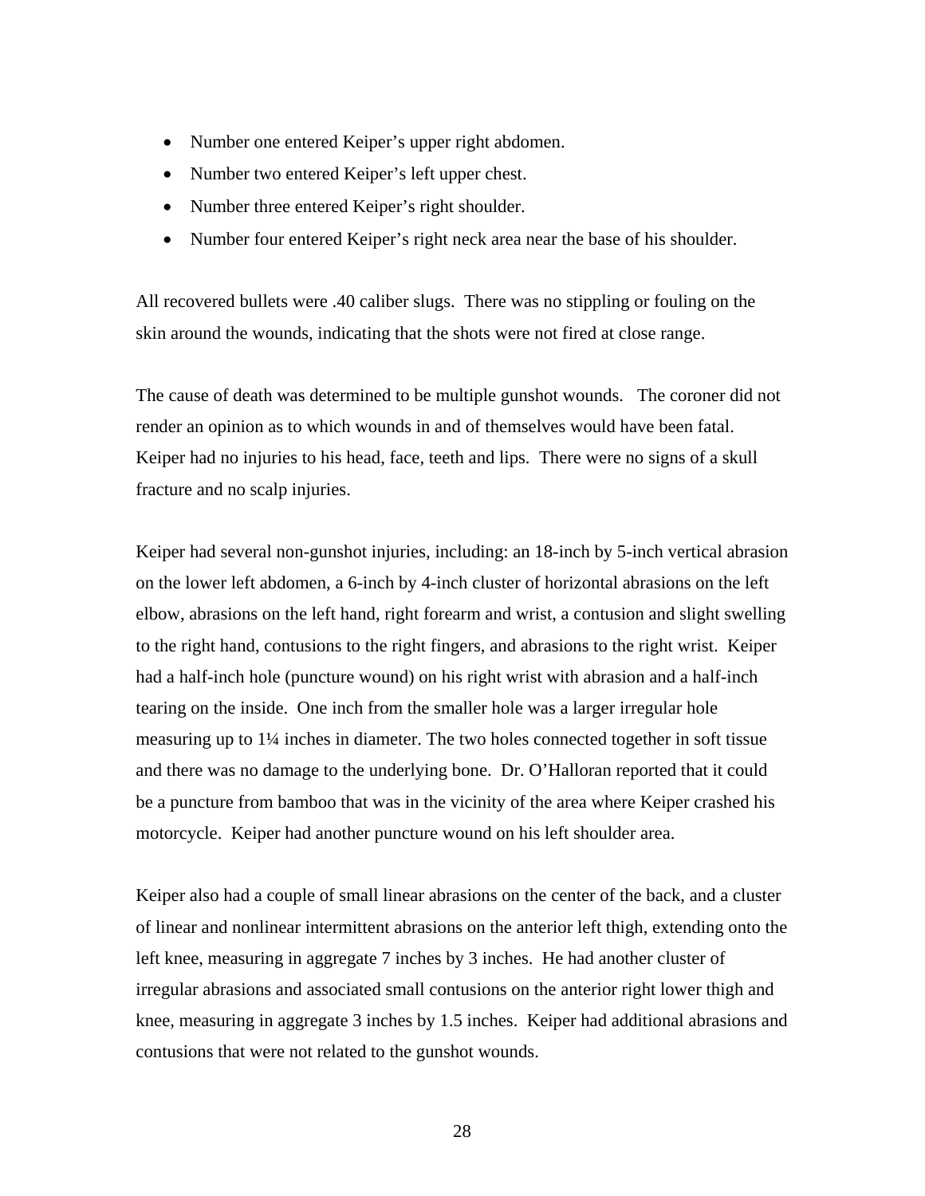- Number one entered Keiper's upper right abdomen.
- Number two entered Keiper's left upper chest.
- Number three entered Keiper's right shoulder.
- Number four entered Keiper's right neck area near the base of his shoulder.

All recovered bullets were .40 caliber slugs. There was no stippling or fouling on the skin around the wounds, indicating that the shots were not fired at close range.

The cause of death was determined to be multiple gunshot wounds. The coroner did not render an opinion as to which wounds in and of themselves would have been fatal. Keiper had no injuries to his head, face, teeth and lips. There were no signs of a skull fracture and no scalp injuries.

Keiper had several non-gunshot injuries, including: an 18-inch by 5-inch vertical abrasion on the lower left abdomen, a 6-inch by 4-inch cluster of horizontal abrasions on the left elbow, abrasions on the left hand, right forearm and wrist, a contusion and slight swelling to the right hand, contusions to the right fingers, and abrasions to the right wrist. Keiper had a half-inch hole (puncture wound) on his right wrist with abrasion and a half-inch tearing on the inside. One inch from the smaller hole was a larger irregular hole measuring up to 1¼ inches in diameter. The two holes connected together in soft tissue and there was no damage to the underlying bone. Dr. O'Halloran reported that it could be a puncture from bamboo that was in the vicinity of the area where Keiper crashed his motorcycle. Keiper had another puncture wound on his left shoulder area.

Keiper also had a couple of small linear abrasions on the center of the back, and a cluster of linear and nonlinear intermittent abrasions on the anterior left thigh, extending onto the left knee, measuring in aggregate 7 inches by 3 inches. He had another cluster of irregular abrasions and associated small contusions on the anterior right lower thigh and knee, measuring in aggregate 3 inches by 1.5 inches. Keiper had additional abrasions and contusions that were not related to the gunshot wounds.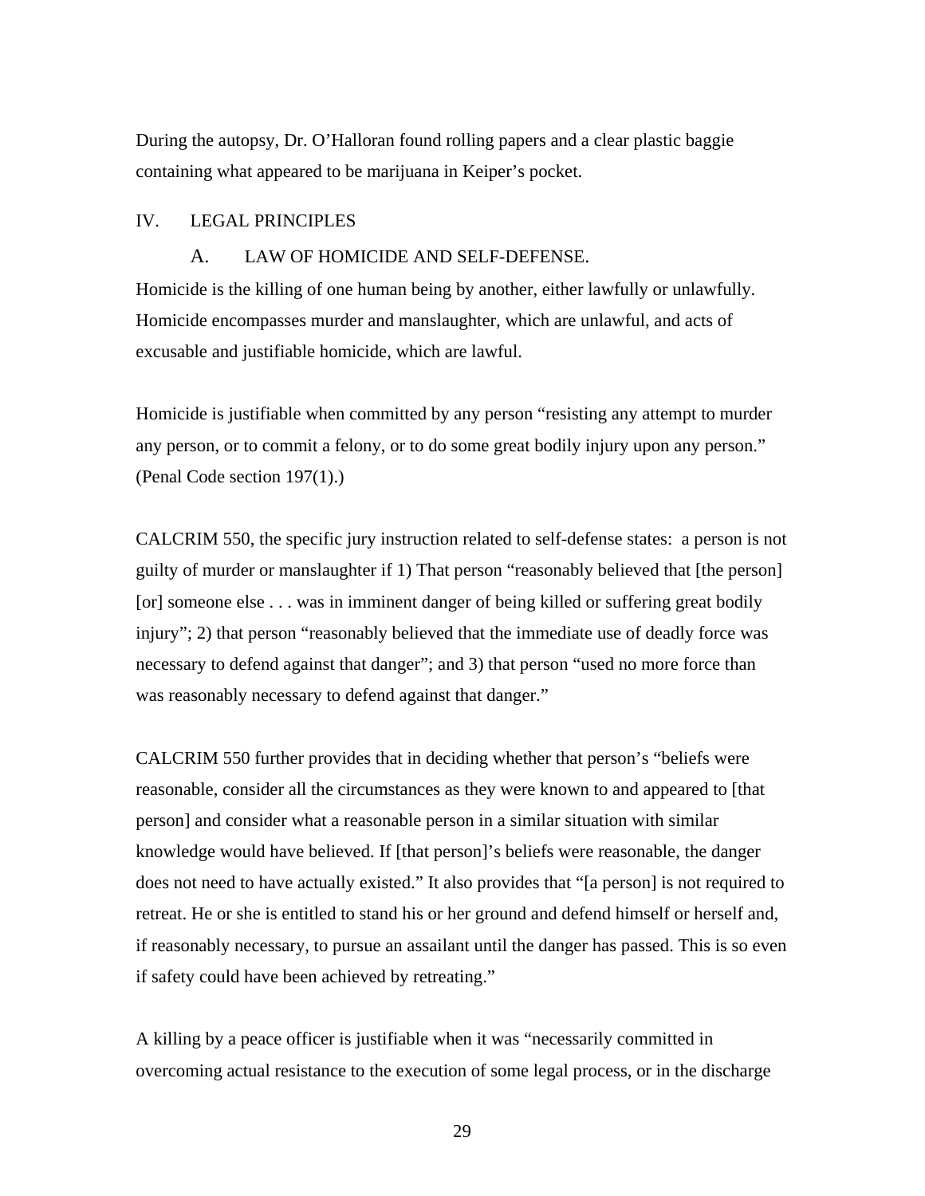During the autopsy, Dr. O'Halloran found rolling papers and a clear plastic baggie containing what appeared to be marijuana in Keiper's pocket.

### IV. LEGAL PRINCIPLES

### A. LAW OF HOMICIDE AND SELF-DEFENSE.

Homicide is the killing of one human being by another, either lawfully or unlawfully. Homicide encompasses murder and manslaughter, which are unlawful, and acts of excusable and justifiable homicide, which are lawful.

Homicide is justifiable when committed by any person "resisting any attempt to murder any person, or to commit a felony, or to do some great bodily injury upon any person." (Penal Code section 197(1).)

CALCRIM 550, the specific jury instruction related to self-defense states: a person is not guilty of murder or manslaughter if 1) That person "reasonably believed that [the person] [or] someone else . . . was in imminent danger of being killed or suffering great bodily injury"; 2) that person "reasonably believed that the immediate use of deadly force was necessary to defend against that danger"; and 3) that person "used no more force than was reasonably necessary to defend against that danger."

CALCRIM 550 further provides that in deciding whether that person's "beliefs were reasonable, consider all the circumstances as they were known to and appeared to [that person] and consider what a reasonable person in a similar situation with similar knowledge would have believed. If [that person]'s beliefs were reasonable, the danger does not need to have actually existed." It also provides that "[a person] is not required to retreat. He or she is entitled to stand his or her ground and defend himself or herself and, if reasonably necessary, to pursue an assailant until the danger has passed. This is so even if safety could have been achieved by retreating."

A killing by a peace officer is justifiable when it was "necessarily committed in overcoming actual resistance to the execution of some legal process, or in the discharge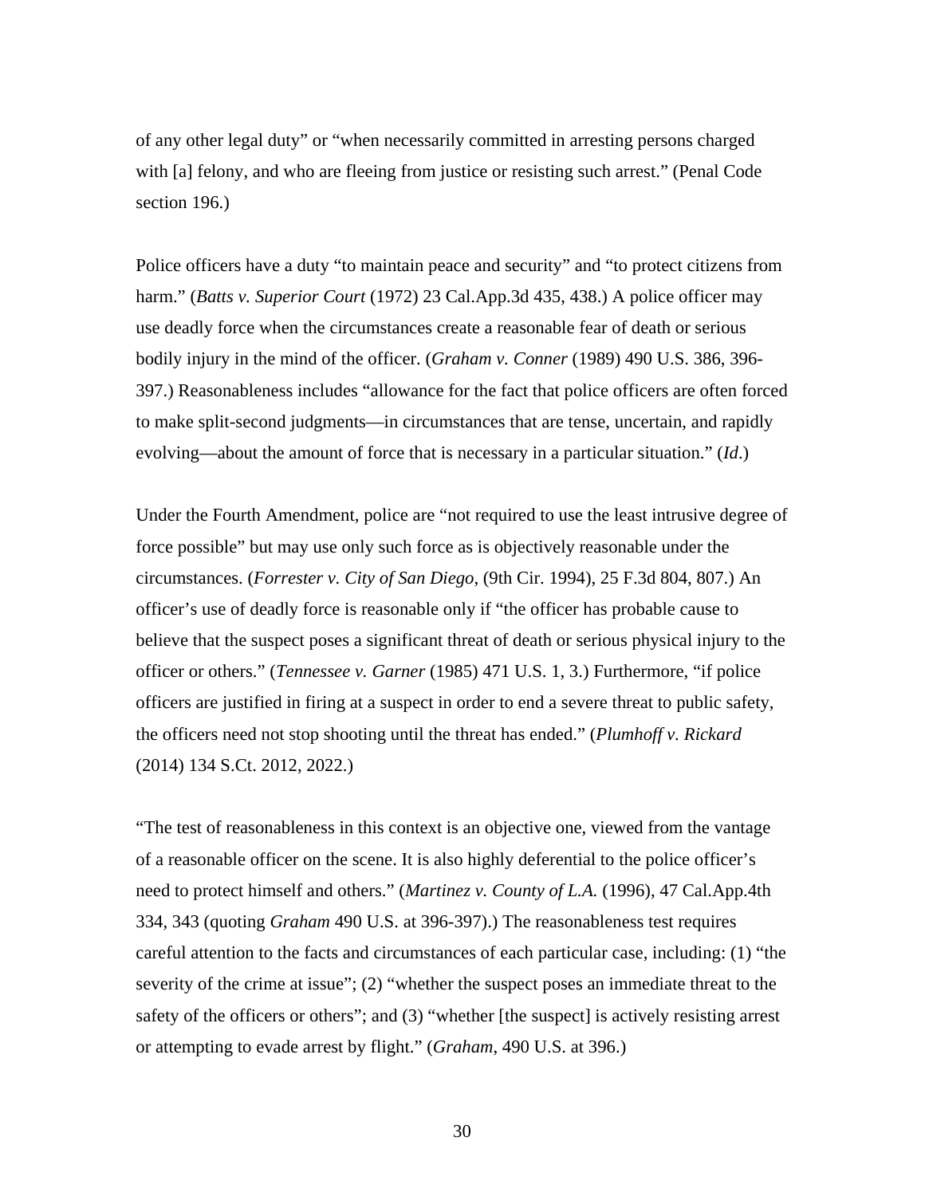of any other legal duty" or "when necessarily committed in arresting persons charged with [a] felony, and who are fleeing from justice or resisting such arrest." (Penal Code section 196.)

Police officers have a duty "to maintain peace and security" and "to protect citizens from harm." (*Batts v. Superior Court* (1972) 23 Cal.App.3d 435, 438.) A police officer may use deadly force when the circumstances create a reasonable fear of death or serious bodily injury in the mind of the officer. (*Graham v. Conner* (1989) 490 U.S. 386, 396- 397.) Reasonableness includes "allowance for the fact that police officers are often forced to make split-second judgments—in circumstances that are tense, uncertain, and rapidly evolving—about the amount of force that is necessary in a particular situation." (*Id*.)

Under the Fourth Amendment, police are "not required to use the least intrusive degree of force possible" but may use only such force as is objectively reasonable under the circumstances. (*Forrester v. City of San Diego*, (9th Cir. 1994), 25 F.3d 804, 807.) An officer's use of deadly force is reasonable only if "the officer has probable cause to believe that the suspect poses a significant threat of death or serious physical injury to the officer or others." (*Tennessee v. Garner* (1985) 471 U.S. 1, 3.) Furthermore, "if police officers are justified in firing at a suspect in order to end a severe threat to public safety, the officers need not stop shooting until the threat has ended." (*Plumhoff v. Rickard* (2014) 134 S.Ct. 2012, 2022.)

"The test of reasonableness in this context is an objective one, viewed from the vantage of a reasonable officer on the scene. It is also highly deferential to the police officer's need to protect himself and others." (*Martinez v. County of L.A.* (1996), 47 Cal.App.4th 334, 343 (quoting *Graham* 490 U.S. at 396-397).) The reasonableness test requires careful attention to the facts and circumstances of each particular case, including: (1) "the severity of the crime at issue"; (2) "whether the suspect poses an immediate threat to the safety of the officers or others"; and (3) "whether [the suspect] is actively resisting arrest or attempting to evade arrest by flight." (*Graham*, 490 U.S. at 396.)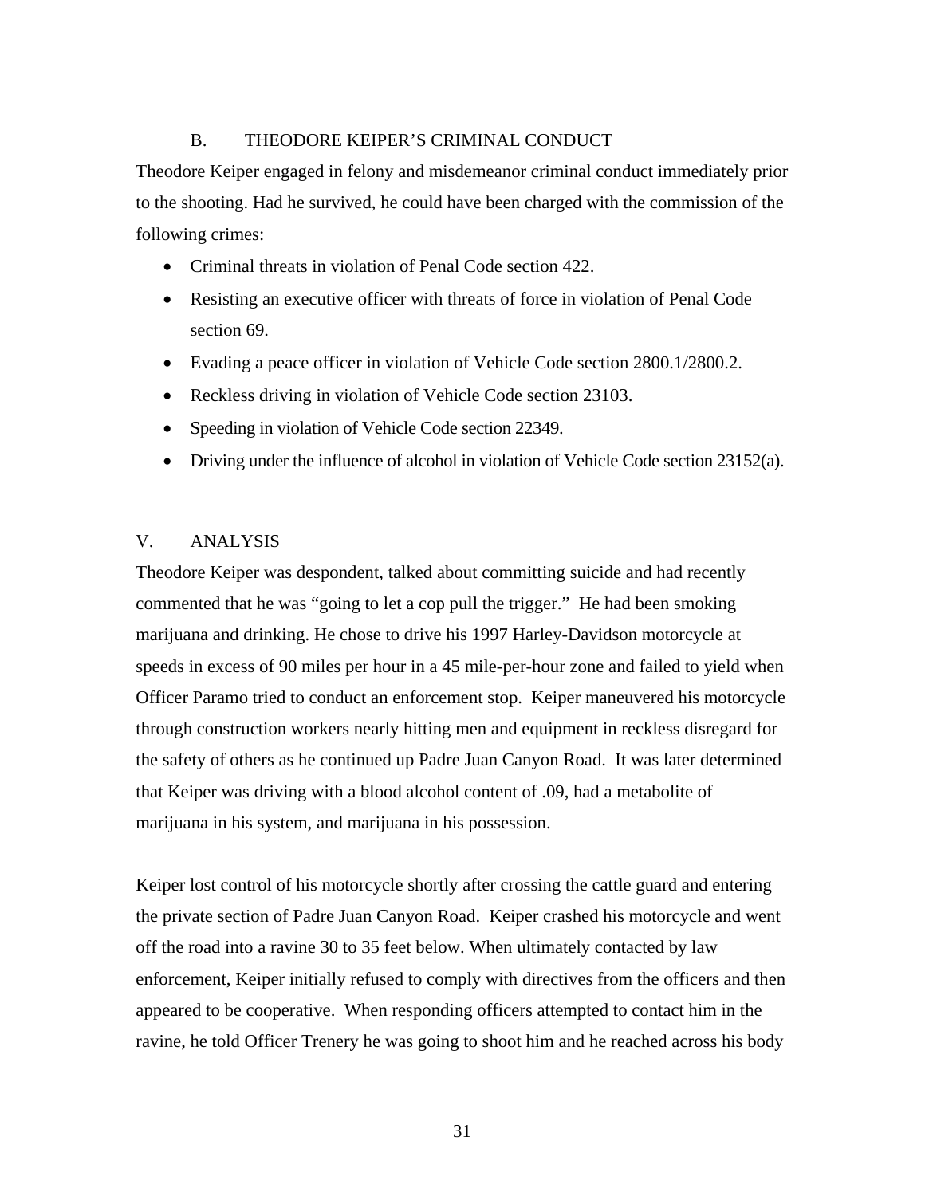## B. THEODORE KEIPER'S CRIMINAL CONDUCT

Theodore Keiper engaged in felony and misdemeanor criminal conduct immediately prior to the shooting. Had he survived, he could have been charged with the commission of the following crimes:

- Criminal threats in violation of Penal Code section 422.
- Resisting an executive officer with threats of force in violation of Penal Code section 69.
- Evading a peace officer in violation of Vehicle Code section 2800.1/2800.2.
- Reckless driving in violation of Vehicle Code section 23103.
- Speeding in violation of Vehicle Code section 22349.
- Driving under the influence of alcohol in violation of Vehicle Code section  $23152(a)$ .

## V. ANALYSIS

Theodore Keiper was despondent, talked about committing suicide and had recently commented that he was "going to let a cop pull the trigger." He had been smoking marijuana and drinking. He chose to drive his 1997 Harley-Davidson motorcycle at speeds in excess of 90 miles per hour in a 45 mile-per-hour zone and failed to yield when Officer Paramo tried to conduct an enforcement stop. Keiper maneuvered his motorcycle through construction workers nearly hitting men and equipment in reckless disregard for the safety of others as he continued up Padre Juan Canyon Road. It was later determined that Keiper was driving with a blood alcohol content of .09, had a metabolite of marijuana in his system, and marijuana in his possession.

Keiper lost control of his motorcycle shortly after crossing the cattle guard and entering the private section of Padre Juan Canyon Road. Keiper crashed his motorcycle and went off the road into a ravine 30 to 35 feet below. When ultimately contacted by law enforcement, Keiper initially refused to comply with directives from the officers and then appeared to be cooperative. When responding officers attempted to contact him in the ravine, he told Officer Trenery he was going to shoot him and he reached across his body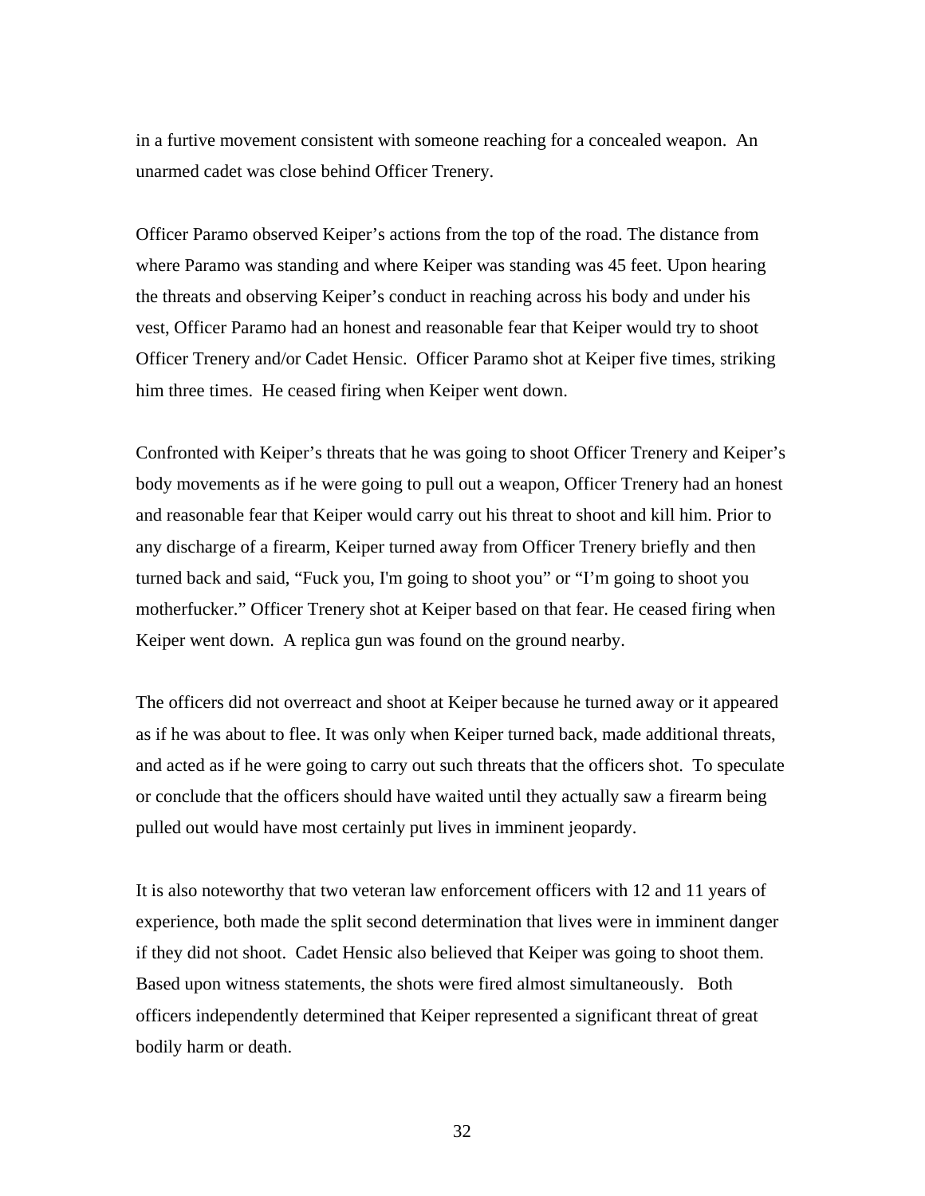in a furtive movement consistent with someone reaching for a concealed weapon. An unarmed cadet was close behind Officer Trenery.

Officer Paramo observed Keiper's actions from the top of the road. The distance from where Paramo was standing and where Keiper was standing was 45 feet. Upon hearing the threats and observing Keiper's conduct in reaching across his body and under his vest, Officer Paramo had an honest and reasonable fear that Keiper would try to shoot Officer Trenery and/or Cadet Hensic. Officer Paramo shot at Keiper five times, striking him three times. He ceased firing when Keiper went down.

Confronted with Keiper's threats that he was going to shoot Officer Trenery and Keiper's body movements as if he were going to pull out a weapon, Officer Trenery had an honest and reasonable fear that Keiper would carry out his threat to shoot and kill him. Prior to any discharge of a firearm, Keiper turned away from Officer Trenery briefly and then turned back and said, "Fuck you, I'm going to shoot you" or "I'm going to shoot you motherfucker." Officer Trenery shot at Keiper based on that fear. He ceased firing when Keiper went down. A replica gun was found on the ground nearby.

The officers did not overreact and shoot at Keiper because he turned away or it appeared as if he was about to flee. It was only when Keiper turned back, made additional threats, and acted as if he were going to carry out such threats that the officers shot. To speculate or conclude that the officers should have waited until they actually saw a firearm being pulled out would have most certainly put lives in imminent jeopardy.

It is also noteworthy that two veteran law enforcement officers with 12 and 11 years of experience, both made the split second determination that lives were in imminent danger if they did not shoot. Cadet Hensic also believed that Keiper was going to shoot them. Based upon witness statements, the shots were fired almost simultaneously. Both officers independently determined that Keiper represented a significant threat of great bodily harm or death.